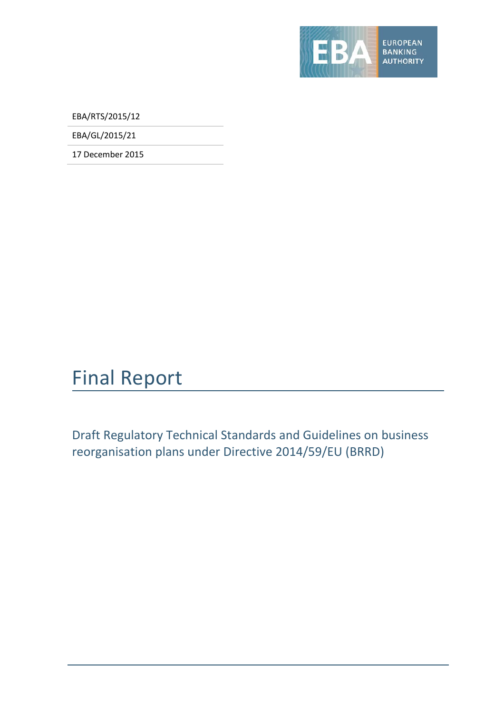

EBA/RTS/2015/12

EBA/GL/2015/21

17 December 2015

# Final Report

Draft Regulatory Technical Standards and Guidelines on business reorganisation plans under Directive 2014/59/EU (BRRD)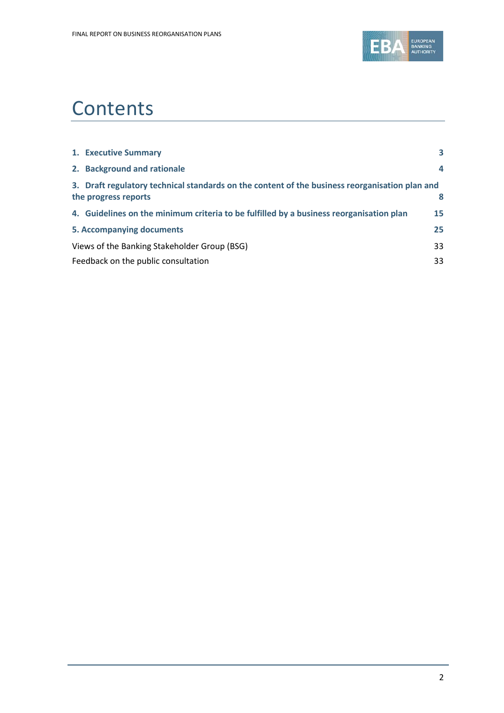

# **Contents**

| 1. Executive Summary                                                                                                   | 3  |
|------------------------------------------------------------------------------------------------------------------------|----|
| 2. Background and rationale                                                                                            | 4  |
| 3. Draft regulatory technical standards on the content of the business reorganisation plan and<br>the progress reports | 8  |
| 4. Guidelines on the minimum criteria to be fulfilled by a business reorganisation plan                                | 15 |
| 5. Accompanying documents                                                                                              | 25 |
| Views of the Banking Stakeholder Group (BSG)                                                                           | 33 |
| Feedback on the public consultation                                                                                    | 33 |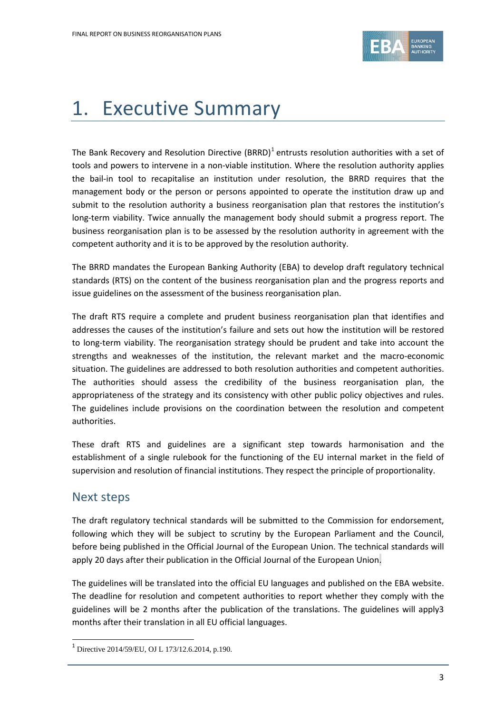

# <span id="page-2-0"></span>1. Executive Summary

The Bank Recovery and Resolution Directive  $(BRRD)^1$  $(BRRD)^1$  entrusts resolution authorities with a set of tools and powers to intervene in a non-viable institution. Where the resolution authority applies the bail-in tool to recapitalise an institution under resolution, the BRRD requires that the management body or the person or persons appointed to operate the institution draw up and submit to the resolution authority a business reorganisation plan that restores the institution's long-term viability. Twice annually the management body should submit a progress report. The business reorganisation plan is to be assessed by the resolution authority in agreement with the competent authority and it is to be approved by the resolution authority.

The BRRD mandates the European Banking Authority (EBA) to develop draft regulatory technical standards (RTS) on the content of the business reorganisation plan and the progress reports and issue guidelines on the assessment of the business reorganisation plan.

The draft RTS require a complete and prudent business reorganisation plan that identifies and addresses the causes of the institution's failure and sets out how the institution will be restored to long-term viability. The reorganisation strategy should be prudent and take into account the strengths and weaknesses of the institution, the relevant market and the macro-economic situation. The guidelines are addressed to both resolution authorities and competent authorities. The authorities should assess the credibility of the business reorganisation plan, the appropriateness of the strategy and its consistency with other public policy objectives and rules. The guidelines include provisions on the coordination between the resolution and competent authorities.

These draft RTS and guidelines are a significant step towards harmonisation and the establishment of a single rulebook for the functioning of the EU internal market in the field of supervision and resolution of financial institutions. They respect the principle of proportionality.

### Next steps

 $\overline{a}$ 

The draft regulatory technical standards will be submitted to the Commission for endorsement, following which they will be subject to scrutiny by the European Parliament and the Council, before being published in the Official Journal of the European Union. The technical standards will apply 20 days after their publication in the Official Journal of the European Union.

The guidelines will be translated into the official EU languages and published on the EBA website. The deadline for resolution and competent authorities to report whether they comply with the guidelines will be 2 months after the publication of the translations. The guidelines will apply3 months after their translation in all EU official languages.

<span id="page-2-1"></span><sup>1</sup> Directive 2014/59/EU, OJ L 173/12.6.2014, p.190.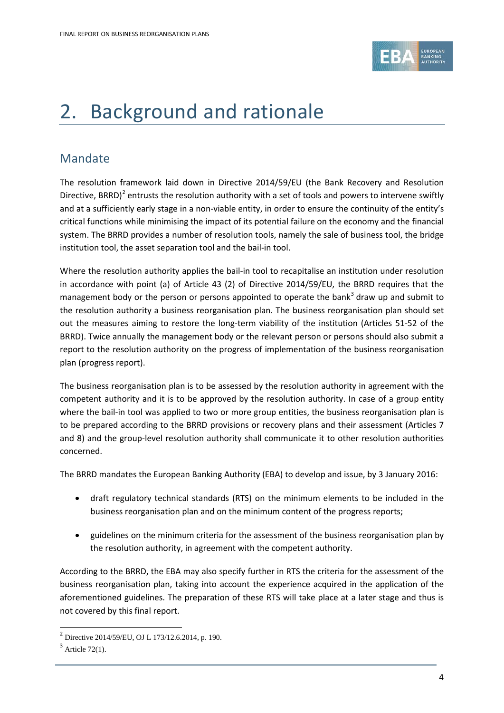

# <span id="page-3-0"></span>2. Background and rationale

### Mandate

The resolution framework laid down in Directive 2014/59/EU (the Bank Recovery and Resolution Directive, BRRD)<sup>[2](#page-3-1)</sup> entrusts the resolution authority with a set of tools and powers to intervene swiftly and at a sufficiently early stage in a non-viable entity, in order to ensure the continuity of the entity's critical functions while minimising the impact of its potential failure on the economy and the financial system. The BRRD provides a number of resolution tools, namely the sale of business tool, the bridge institution tool, the asset separation tool and the bail-in tool.

Where the resolution authority applies the bail-in tool to recapitalise an institution under resolution in accordance with point (a) of Article 43 (2) of Directive 2014/59/EU, the BRRD requires that the management body or the person or persons appointed to operate the bank<sup>[3](#page-3-2)</sup> draw up and submit to the resolution authority a business reorganisation plan. The business reorganisation plan should set out the measures aiming to restore the long-term viability of the institution (Articles 51-52 of the BRRD). Twice annually the management body or the relevant person or persons should also submit a report to the resolution authority on the progress of implementation of the business reorganisation plan (progress report).

The business reorganisation plan is to be assessed by the resolution authority in agreement with the competent authority and it is to be approved by the resolution authority. In case of a group entity where the bail-in tool was applied to two or more group entities, the business reorganisation plan is to be prepared according to the BRRD provisions or recovery plans and their assessment (Articles 7 and 8) and the group-level resolution authority shall communicate it to other resolution authorities concerned.

The BRRD mandates the European Banking Authority (EBA) to develop and issue, by 3 January 2016:

- draft regulatory technical standards (RTS) on the minimum elements to be included in the business reorganisation plan and on the minimum content of the progress reports;
- guidelines on the minimum criteria for the assessment of the business reorganisation plan by the resolution authority, in agreement with the competent authority.

According to the BRRD, the EBA may also specify further in RTS the criteria for the assessment of the business reorganisation plan, taking into account the experience acquired in the application of the aforementioned guidelines. The preparation of these RTS will take place at a later stage and thus is not covered by this final report.

 $\overline{a}$ 

<span id="page-3-1"></span><sup>2</sup> Directive 2014/59/EU, OJ L 173/12.6.2014, p. 190.

<span id="page-3-2"></span> $3$  Article 72(1).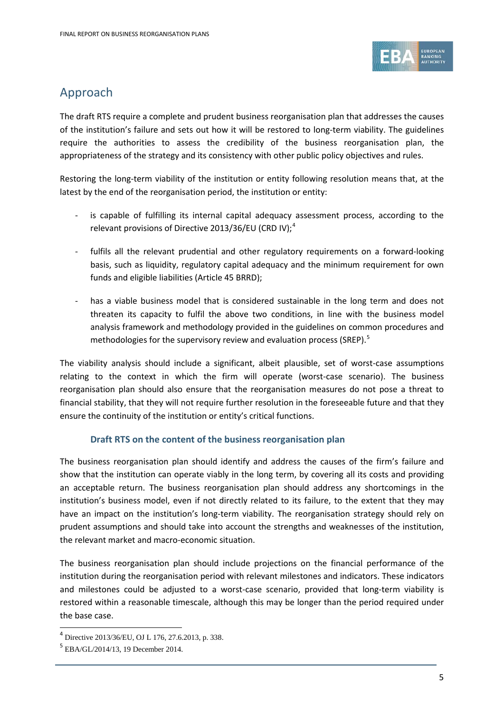

### Approach

The draft RTS require a complete and prudent business reorganisation plan that addresses the causes of the institution's failure and sets out how it will be restored to long-term viability. The guidelines require the authorities to assess the credibility of the business reorganisation plan, the appropriateness of the strategy and its consistency with other public policy objectives and rules.

Restoring the long-term viability of the institution or entity following resolution means that, at the latest by the end of the reorganisation period, the institution or entity:

- is capable of fulfilling its internal capital adequacy assessment process, according to the relevant provisions of Directive 2013/36/EU (CRD IV);<sup>[4](#page-4-0)</sup>
- fulfils all the relevant prudential and other regulatory requirements on a forward-looking basis, such as liquidity, regulatory capital adequacy and the minimum requirement for own funds and eligible liabilities (Article 45 BRRD);
- has a viable business model that is considered sustainable in the long term and does not threaten its capacity to fulfil the above two conditions, in line with the business model analysis framework and methodology provided in the guidelines on common procedures and methodologies for the supervisory review and evaluation process (SREP). $<sup>5</sup>$  $<sup>5</sup>$  $<sup>5</sup>$ </sup>

The viability analysis should include a significant, albeit plausible, set of worst-case assumptions relating to the context in which the firm will operate (worst-case scenario). The business reorganisation plan should also ensure that the reorganisation measures do not pose a threat to financial stability, that they will not require further resolution in the foreseeable future and that they ensure the continuity of the institution or entity's critical functions.

#### **Draft RTS on the content of the business reorganisation plan**

The business reorganisation plan should identify and address the causes of the firm's failure and show that the institution can operate viably in the long term, by covering all its costs and providing an acceptable return. The business reorganisation plan should address any shortcomings in the institution's business model, even if not directly related to its failure, to the extent that they may have an impact on the institution's long-term viability. The reorganisation strategy should rely on prudent assumptions and should take into account the strengths and weaknesses of the institution, the relevant market and macro-economic situation.

The business reorganisation plan should include projections on the financial performance of the institution during the reorganisation period with relevant milestones and indicators. These indicators and milestones could be adjusted to a worst-case scenario, provided that long-term viability is restored within a reasonable timescale, although this may be longer than the period required under the base case.

 $\overline{a}$ 

<span id="page-4-0"></span><sup>4</sup> Directive 2013/36/EU, OJ L 176, 27.6.2013, p. 338.

<span id="page-4-1"></span><sup>5</sup> EBA/GL/2014/13, 19 December 2014.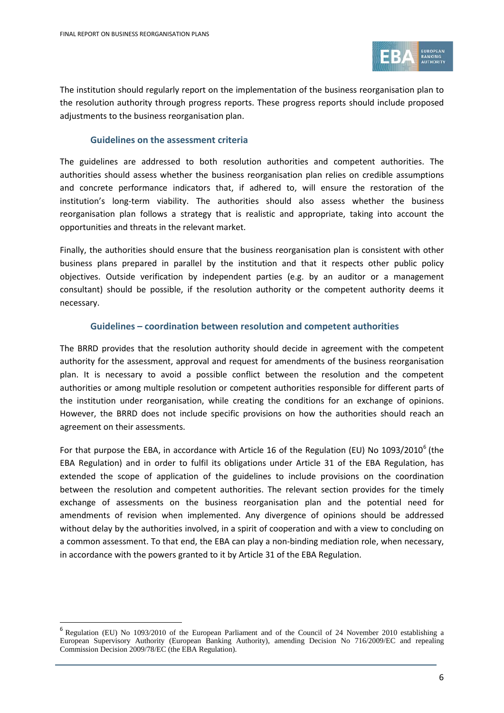$\overline{a}$ 



The institution should regularly report on the implementation of the business reorganisation plan to the resolution authority through progress reports. These progress reports should include proposed adjustments to the business reorganisation plan.

#### **Guidelines on the assessment criteria**

The guidelines are addressed to both resolution authorities and competent authorities. The authorities should assess whether the business reorganisation plan relies on credible assumptions and concrete performance indicators that, if adhered to, will ensure the restoration of the institution's long-term viability. The authorities should also assess whether the business reorganisation plan follows a strategy that is realistic and appropriate, taking into account the opportunities and threats in the relevant market.

Finally, the authorities should ensure that the business reorganisation plan is consistent with other business plans prepared in parallel by the institution and that it respects other public policy objectives. Outside verification by independent parties (e.g. by an auditor or a management consultant) should be possible, if the resolution authority or the competent authority deems it necessary.

#### **Guidelines – coordination between resolution and competent authorities**

The BRRD provides that the resolution authority should decide in agreement with the competent authority for the assessment, approval and request for amendments of the business reorganisation plan. It is necessary to avoid a possible conflict between the resolution and the competent authorities or among multiple resolution or competent authorities responsible for different parts of the institution under reorganisation, while creating the conditions for an exchange of opinions. However, the BRRD does not include specific provisions on how the authorities should reach an agreement on their assessments.

For that purpose the EBA, in accordance with Article 1[6](#page-5-0) of the Regulation (EU) No 1093/2010<sup>6</sup> (the EBA Regulation) and in order to fulfil its obligations under Article 31 of the EBA Regulation, has extended the scope of application of the guidelines to include provisions on the coordination between the resolution and competent authorities. The relevant section provides for the timely exchange of assessments on the business reorganisation plan and the potential need for amendments of revision when implemented. Any divergence of opinions should be addressed without delay by the authorities involved, in a spirit of cooperation and with a view to concluding on a common assessment. To that end, the EBA can play a non-binding mediation role, when necessary, in accordance with the powers granted to it by Article 31 of the EBA Regulation.

<span id="page-5-0"></span><sup>6</sup> Regulation (EU) No 1093/2010 of the European Parliament and of the Council of 24 November 2010 establishing a European Supervisory Authority (European Banking Authority), amending Decision No 716/2009/EC and repealing Commission Decision 2009/78/EC (the EBA Regulation).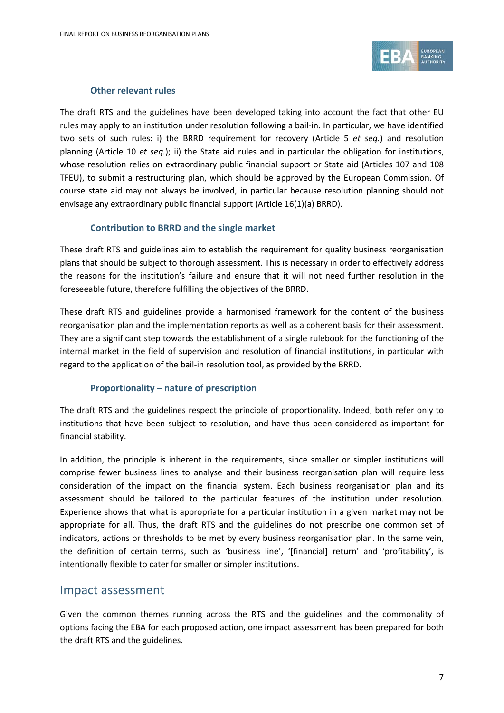

#### **Other relevant rules**

The draft RTS and the guidelines have been developed taking into account the fact that other EU rules may apply to an institution under resolution following a bail-in. In particular, we have identified two sets of such rules: i) the BRRD requirement for recovery (Article 5 *et seq.*) and resolution planning (Article 10 *et seq.*); ii) the State aid rules and in particular the obligation for institutions, whose resolution relies on extraordinary public financial support or State aid (Articles 107 and 108 TFEU), to submit a restructuring plan, which should be approved by the European Commission. Of course state aid may not always be involved, in particular because resolution planning should not envisage any extraordinary public financial support (Article 16(1)(a) BRRD).

#### **Contribution to BRRD and the single market**

These draft RTS and guidelines aim to establish the requirement for quality business reorganisation plans that should be subject to thorough assessment. This is necessary in order to effectively address the reasons for the institution's failure and ensure that it will not need further resolution in the foreseeable future, therefore fulfilling the objectives of the BRRD.

These draft RTS and guidelines provide a harmonised framework for the content of the business reorganisation plan and the implementation reports as well as a coherent basis for their assessment. They are a significant step towards the establishment of a single rulebook for the functioning of the internal market in the field of supervision and resolution of financial institutions, in particular with regard to the application of the bail-in resolution tool, as provided by the BRRD.

#### **Proportionality – nature of prescription**

The draft RTS and the guidelines respect the principle of proportionality. Indeed, both refer only to institutions that have been subject to resolution, and have thus been considered as important for financial stability.

In addition, the principle is inherent in the requirements, since smaller or simpler institutions will comprise fewer business lines to analyse and their business reorganisation plan will require less consideration of the impact on the financial system. Each business reorganisation plan and its assessment should be tailored to the particular features of the institution under resolution. Experience shows that what is appropriate for a particular institution in a given market may not be appropriate for all. Thus, the draft RTS and the guidelines do not prescribe one common set of indicators, actions or thresholds to be met by every business reorganisation plan. In the same vein, the definition of certain terms, such as 'business line', '[financial] return' and 'profitability', is intentionally flexible to cater for smaller or simpler institutions.

### Impact assessment

Given the common themes running across the RTS and the guidelines and the commonality of options facing the EBA for each proposed action, one impact assessment has been prepared for both the draft RTS and the guidelines.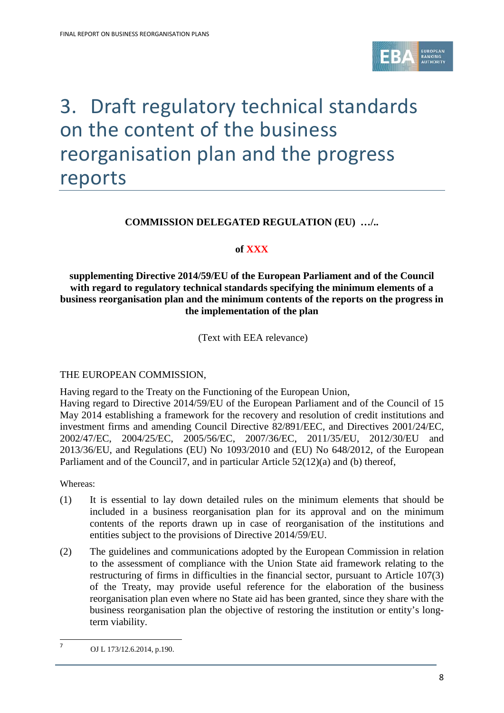

# <span id="page-7-0"></span>3. Draft regulatory technical standards on the content of the business reorganisation plan and the progress reports

#### **COMMISSION DELEGATED REGULATION (EU) …/..**

#### **of XXX**

#### **supplementing Directive 2014/59/EU of the European Parliament and of the Council with regard to regulatory technical standards specifying the minimum elements of a business reorganisation plan and the minimum contents of the reports on the progress in the implementation of the plan**

(Text with EEA relevance)

#### THE EUROPEAN COMMISSION,

Having regard to the Treaty on the Functioning of the European Union,

Having regard to Directive 2014/59/EU of the European Parliament and of the Council of 15 May 2014 establishing a framework for the recovery and resolution of credit institutions and investment firms and amending Council Directive 82/891/EEC, and Directives 2001/24/EC, 2002/47/EC, 2004/25/EC, 2005/56/EC, 2007/36/EC, 2011/35/EU, 2012/30/EU and 2013/36/EU, and Regulations (EU) No 1093/2010 and (EU) No 648/2012, of the European Parliament and of the Council[7](#page-7-1), and in particular Article 52(12)(a) and (b) thereof,

Whereas:

 $\overline{a}$ 

- (1) It is essential to lay down detailed rules on the minimum elements that should be included in a business reorganisation plan for its approval and on the minimum contents of the reports drawn up in case of reorganisation of the institutions and entities subject to the provisions of Directive 2014/59/EU.
- (2) The guidelines and communications adopted by the European Commission in relation to the assessment of compliance with the Union State aid framework relating to the restructuring of firms in difficulties in the financial sector, pursuant to Article 107(3) of the Treaty, may provide useful reference for the elaboration of the business reorganisation plan even where no State aid has been granted, since they share with the business reorganisation plan the objective of restoring the institution or entity's longterm viability.

<span id="page-7-1"></span><sup>7</sup> OJ L 173/12.6.2014, p.190.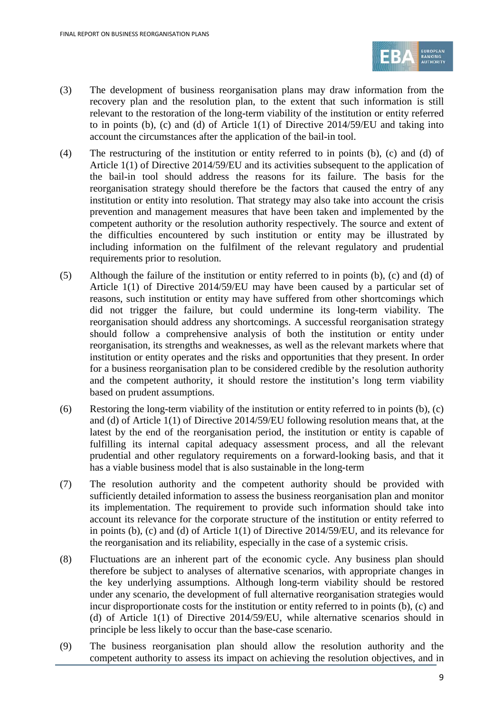

- (3) The development of business reorganisation plans may draw information from the recovery plan and the resolution plan, to the extent that such information is still relevant to the restoration of the long-term viability of the institution or entity referred to in points (b), (c) and (d) of Article 1(1) of Directive 2014/59/EU and taking into account the circumstances after the application of the bail-in tool.
- (4) The restructuring of the institution or entity referred to in points (b), (c) and (d) of Article 1(1) of Directive 2014/59/EU and its activities subsequent to the application of the bail-in tool should address the reasons for its failure. The basis for the reorganisation strategy should therefore be the factors that caused the entry of any institution or entity into resolution. That strategy may also take into account the crisis prevention and management measures that have been taken and implemented by the competent authority or the resolution authority respectively. The source and extent of the difficulties encountered by such institution or entity may be illustrated by including information on the fulfilment of the relevant regulatory and prudential requirements prior to resolution.
- (5) Although the failure of the institution or entity referred to in points (b), (c) and (d) of Article 1(1) of Directive 2014/59/EU may have been caused by a particular set of reasons, such institution or entity may have suffered from other shortcomings which did not trigger the failure, but could undermine its long-term viability. The reorganisation should address any shortcomings. A successful reorganisation strategy should follow a comprehensive analysis of both the institution or entity under reorganisation, its strengths and weaknesses, as well as the relevant markets where that institution or entity operates and the risks and opportunities that they present. In order for a business reorganisation plan to be considered credible by the resolution authority and the competent authority, it should restore the institution's long term viability based on prudent assumptions.
- (6) Restoring the long-term viability of the institution or entity referred to in points (b), (c) and (d) of Article 1(1) of Directive 2014/59/EU following resolution means that, at the latest by the end of the reorganisation period, the institution or entity is capable of fulfilling its internal capital adequacy assessment process, and all the relevant prudential and other regulatory requirements on a forward-looking basis, and that it has a viable business model that is also sustainable in the long-term
- (7) The resolution authority and the competent authority should be provided with sufficiently detailed information to assess the business reorganisation plan and monitor its implementation. The requirement to provide such information should take into account its relevance for the corporate structure of the institution or entity referred to in points (b), (c) and (d) of Article 1(1) of Directive 2014/59/EU, and its relevance for the reorganisation and its reliability, especially in the case of a systemic crisis.
- (8) Fluctuations are an inherent part of the economic cycle. Any business plan should therefore be subject to analyses of alternative scenarios, with appropriate changes in the key underlying assumptions. Although long-term viability should be restored under any scenario, the development of full alternative reorganisation strategies would incur disproportionate costs for the institution or entity referred to in points (b), (c) and (d) of Article 1(1) of Directive 2014/59/EU, while alternative scenarios should in principle be less likely to occur than the base-case scenario.
- (9) The business reorganisation plan should allow the resolution authority and the competent authority to assess its impact on achieving the resolution objectives, and in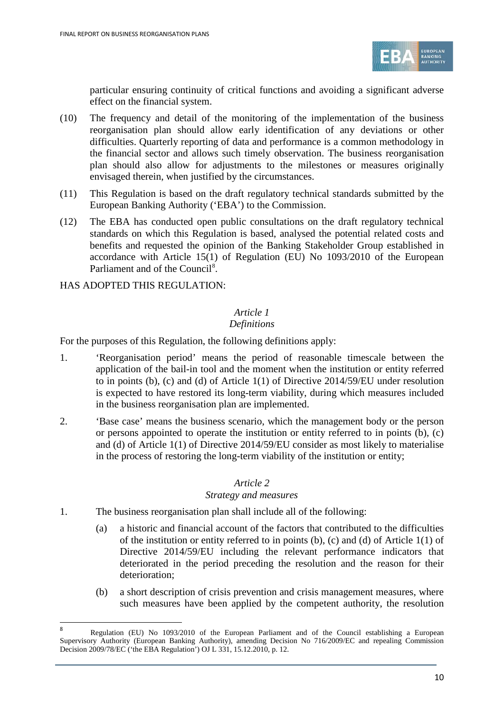

particular ensuring continuity of critical functions and avoiding a significant adverse effect on the financial system.

- (10) The frequency and detail of the monitoring of the implementation of the business reorganisation plan should allow early identification of any deviations or other difficulties. Quarterly reporting of data and performance is a common methodology in the financial sector and allows such timely observation. The business reorganisation plan should also allow for adjustments to the milestones or measures originally envisaged therein, when justified by the circumstances.
- (11) This Regulation is based on the draft regulatory technical standards submitted by the European Banking Authority ('EBA') to the Commission.
- (12) The EBA has conducted open public consultations on the draft regulatory technical standards on which this Regulation is based, analysed the potential related costs and benefits and requested the opinion of the Banking Stakeholder Group established in accordance with Article 15(1) of Regulation (EU) No 1093/2010 of the European Parliament and of the Council<sup>[8](#page-9-0)</sup>.

HAS ADOPTED THIS REGULATION:

 $\overline{a}$ 

### *Article 1*

#### *Definitions*

For the purposes of this Regulation, the following definitions apply:

- 1. 'Reorganisation period' means the period of reasonable timescale between the application of the bail-in tool and the moment when the institution or entity referred to in points (b), (c) and (d) of Article 1(1) of Directive 2014/59/EU under resolution is expected to have restored its long-term viability, during which measures included in the business reorganisation plan are implemented.
- 2. 'Base case' means the business scenario, which the management body or the person or persons appointed to operate the institution or entity referred to in points  $(b)$ ,  $(c)$ and (d) of Article 1(1) of Directive 2014/59/EU consider as most likely to materialise in the process of restoring the long-term viability of the institution or entity;

#### *Article 2*

#### *Strategy and measures*

- 1. The business reorganisation plan shall include all of the following:
	- (a) a historic and financial account of the factors that contributed to the difficulties of the institution or entity referred to in points (b), (c) and (d) of Article 1(1) of Directive 2014/59/EU including the relevant performance indicators that deteriorated in the period preceding the resolution and the reason for their deterioration;
	- (b) a short description of crisis prevention and crisis management measures, where such measures have been applied by the competent authority, the resolution

<span id="page-9-0"></span><sup>8</sup> Regulation (EU) No 1093/2010 of the European Parliament and of the Council establishing a European Supervisory Authority (European Banking Authority), amending Decision No 716/2009/EC and repealing Commission Decision 2009/78/EC ('the EBA Regulation') OJ L 331, 15.12.2010, p. 12.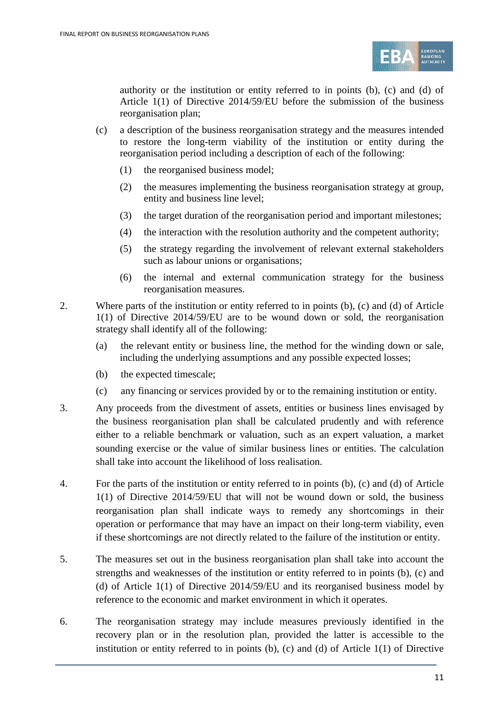

authority or the institution or entity referred to in points (b), (c) and (d) of Article 1(1) of Directive 2014/59/EU before the submission of the business reorganisation plan;

- (c) a description of the business reorganisation strategy and the measures intended to restore the long-term viability of the institution or entity during the reorganisation period including a description of each of the following:
	- (1) the reorganised business model;
	- (2) the measures implementing the business reorganisation strategy at group, entity and business line level;
	- (3) the target duration of the reorganisation period and important milestones;
	- (4) the interaction with the resolution authority and the competent authority;
	- (5) the strategy regarding the involvement of relevant external stakeholders such as labour unions or organisations;
	- (6) the internal and external communication strategy for the business reorganisation measures.
- 2. Where parts of the institution or entity referred to in points (b), (c) and (d) of Article 1(1) of Directive 2014/59/EU are to be wound down or sold, the reorganisation strategy shall identify all of the following:
	- (a) the relevant entity or business line, the method for the winding down or sale, including the underlying assumptions and any possible expected losses;
	- (b) the expected timescale;
	- (c) any financing or services provided by or to the remaining institution or entity.
- 3. Any proceeds from the divestment of assets, entities or business lines envisaged by the business reorganisation plan shall be calculated prudently and with reference either to a reliable benchmark or valuation, such as an expert valuation, a market sounding exercise or the value of similar business lines or entities. The calculation shall take into account the likelihood of loss realisation.
- 4. For the parts of the institution or entity referred to in points (b), (c) and (d) of Article 1(1) of Directive 2014/59/EU that will not be wound down or sold, the business reorganisation plan shall indicate ways to remedy any shortcomings in their operation or performance that may have an impact on their long-term viability, even if these shortcomings are not directly related to the failure of the institution or entity.
- 5. The measures set out in the business reorganisation plan shall take into account the strengths and weaknesses of the institution or entity referred to in points (b), (c) and (d) of Article 1(1) of Directive 2014/59/EU and its reorganised business model by reference to the economic and market environment in which it operates.
- 6. The reorganisation strategy may include measures previously identified in the recovery plan or in the resolution plan, provided the latter is accessible to the institution or entity referred to in points (b), (c) and (d) of Article 1(1) of Directive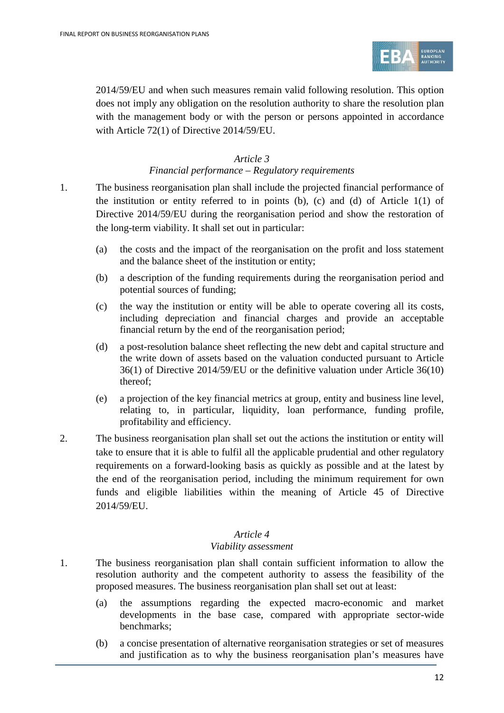

2014/59/EU and when such measures remain valid following resolution. This option does not imply any obligation on the resolution authority to share the resolution plan with the management body or with the person or persons appointed in accordance with Article 72(1) of Directive 2014/59/EU.

#### *Article 3*

#### *Financial performance – Regulatory requirements*

- 1. The business reorganisation plan shall include the projected financial performance of the institution or entity referred to in points (b), (c) and (d) of Article  $1(1)$  of Directive 2014/59/EU during the reorganisation period and show the restoration of the long-term viability. It shall set out in particular:
	- (a) the costs and the impact of the reorganisation on the profit and loss statement and the balance sheet of the institution or entity;
	- (b) a description of the funding requirements during the reorganisation period and potential sources of funding;
	- (c) the way the institution or entity will be able to operate covering all its costs, including depreciation and financial charges and provide an acceptable financial return by the end of the reorganisation period;
	- (d) a post-resolution balance sheet reflecting the new debt and capital structure and the write down of assets based on the valuation conducted pursuant to Article 36(1) of Directive 2014/59/EU or the definitive valuation under Article 36(10) thereof;
	- (e) a projection of the key financial metrics at group, entity and business line level, relating to, in particular, liquidity, loan performance, funding profile, profitability and efficiency.
- 2. The business reorganisation plan shall set out the actions the institution or entity will take to ensure that it is able to fulfil all the applicable prudential and other regulatory requirements on a forward-looking basis as quickly as possible and at the latest by the end of the reorganisation period, including the minimum requirement for own funds and eligible liabilities within the meaning of Article 45 of Directive 2014/59/EU.

#### *Article 4*

#### *Viability assessment*

- 1. The business reorganisation plan shall contain sufficient information to allow the resolution authority and the competent authority to assess the feasibility of the proposed measures. The business reorganisation plan shall set out at least:
	- (a) the assumptions regarding the expected macro-economic and market developments in the base case, compared with appropriate sector-wide benchmarks;
	- (b) a concise presentation of alternative reorganisation strategies or set of measures and justification as to why the business reorganisation plan's measures have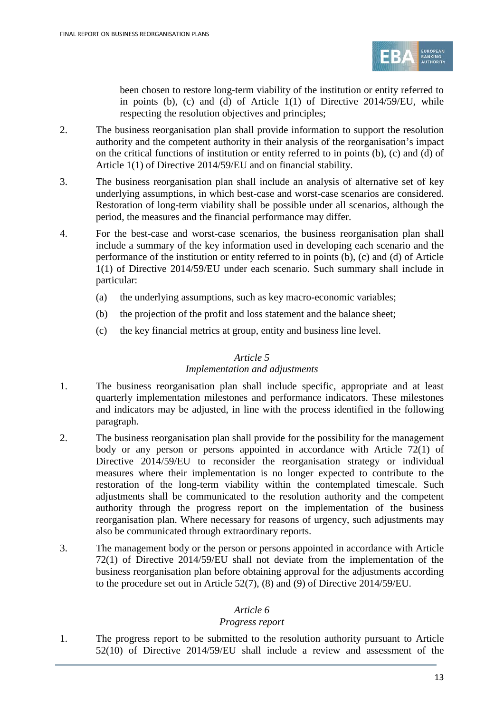

been chosen to restore long-term viability of the institution or entity referred to in points (b), (c) and (d) of Article  $1(1)$  of Directive  $2014/59/EU$ , while respecting the resolution objectives and principles;

- 2. The business reorganisation plan shall provide information to support the resolution authority and the competent authority in their analysis of the reorganisation's impact on the critical functions of institution or entity referred to in points (b), (c) and (d) of Article 1(1) of Directive 2014/59/EU and on financial stability.
- 3. The business reorganisation plan shall include an analysis of alternative set of key underlying assumptions, in which best-case and worst-case scenarios are considered. Restoration of long-term viability shall be possible under all scenarios, although the period, the measures and the financial performance may differ.
- 4. For the best-case and worst-case scenarios, the business reorganisation plan shall include a summary of the key information used in developing each scenario and the performance of the institution or entity referred to in points (b), (c) and (d) of Article 1(1) of Directive 2014/59/EU under each scenario. Such summary shall include in particular:
	- (a) the underlying assumptions, such as key macro-economic variables;
	- (b) the projection of the profit and loss statement and the balance sheet;
	- (c) the key financial metrics at group, entity and business line level.

#### *Article 5*

#### *Implementation and adjustments*

- 1. The business reorganisation plan shall include specific, appropriate and at least quarterly implementation milestones and performance indicators. These milestones and indicators may be adjusted, in line with the process identified in the following paragraph.
- 2. The business reorganisation plan shall provide for the possibility for the management body or any person or persons appointed in accordance with Article 72(1) of Directive 2014/59/EU to reconsider the reorganisation strategy or individual measures where their implementation is no longer expected to contribute to the restoration of the long-term viability within the contemplated timescale. Such adjustments shall be communicated to the resolution authority and the competent authority through the progress report on the implementation of the business reorganisation plan. Where necessary for reasons of urgency, such adjustments may also be communicated through extraordinary reports.
- 3. The management body or the person or persons appointed in accordance with Article 72(1) of Directive 2014/59/EU shall not deviate from the implementation of the business reorganisation plan before obtaining approval for the adjustments according to the procedure set out in Article 52(7), (8) and (9) of Directive 2014/59/EU.

#### *Article 6*

#### *Progress report*

1. The progress report to be submitted to the resolution authority pursuant to Article 52(10) of Directive 2014/59/EU shall include a review and assessment of the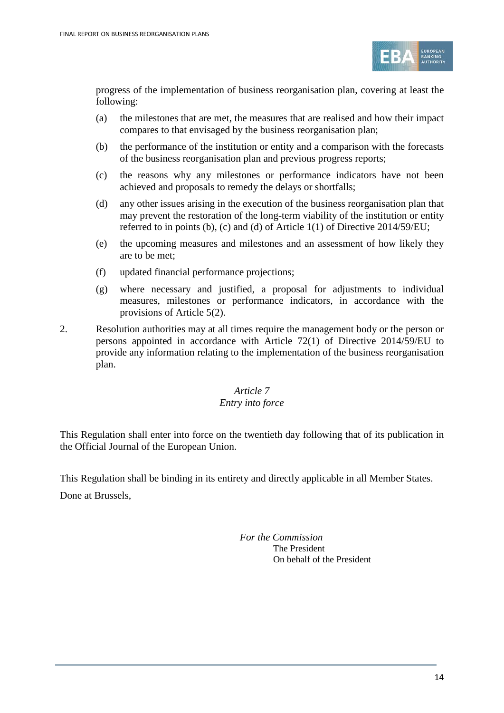

progress of the implementation of business reorganisation plan, covering at least the following:

- (a) the milestones that are met, the measures that are realised and how their impact compares to that envisaged by the business reorganisation plan;
- (b) the performance of the institution or entity and a comparison with the forecasts of the business reorganisation plan and previous progress reports;
- (c) the reasons why any milestones or performance indicators have not been achieved and proposals to remedy the delays or shortfalls;
- (d) any other issues arising in the execution of the business reorganisation plan that may prevent the restoration of the long-term viability of the institution or entity referred to in points (b), (c) and (d) of Article 1(1) of Directive 2014/59/EU;
- (e) the upcoming measures and milestones and an assessment of how likely they are to be met;
- (f) updated financial performance projections;
- (g) where necessary and justified, a proposal for adjustments to individual measures, milestones or performance indicators, in accordance with the provisions of Article 5(2).
- 2. Resolution authorities may at all times require the management body or the person or persons appointed in accordance with Article 72(1) of Directive 2014/59/EU to provide any information relating to the implementation of the business reorganisation plan.

# *Article 7*

#### *Entry into force*

This Regulation shall enter into force on the twentieth day following that of its publication in the Official Journal of the European Union.

This Regulation shall be binding in its entirety and directly applicable in all Member States. Done at Brussels,

> *For the Commission* The President On behalf of the President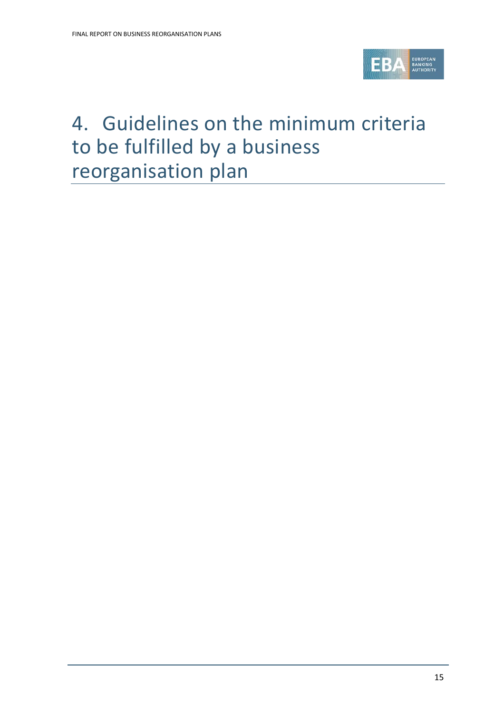

# <span id="page-14-0"></span>4. Guidelines on the minimum criteria to be fulfilled by a business reorganisation plan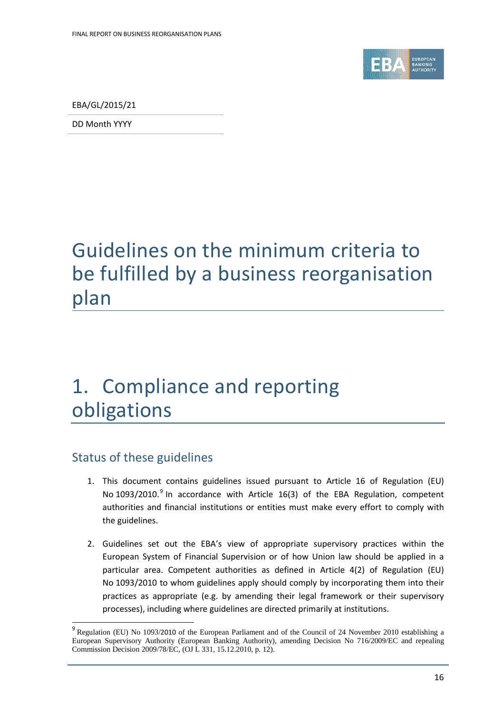

EBA/GL/2015/21

DD Month YYYY

# Guidelines on the minimum criteria to be fulfilled by a business reorganisation plan

# 1. Compliance and reporting obligations

### Status of these guidelines

 $\overline{a}$ 

- 1. This document contains guidelines issued pursuant to Article 16 of Regulation (EU) No 10[9](#page-15-0)3/2010.<sup>9</sup> In accordance with Article 16(3) of the EBA Regulation, competent authorities and financial institutions or entities must make every effort to comply with the guidelines.
- 2. Guidelines set out the EBA's view of appropriate supervisory practices within the European System of Financial Supervision or of how Union law should be applied in a particular area. Competent authorities as defined in Article 4(2) of Regulation (EU) No 1093/2010 to whom guidelines apply should comply by incorporating them into their practices as appropriate (e.g. by amending their legal framework or their supervisory processes), including where guidelines are directed primarily at institutions.

<span id="page-15-0"></span><sup>9</sup> Regulation (EU) No 1093/2010 of the European Parliament and of the Council of 24 November 2010 establishing a European Supervisory Authority (European Banking Authority), amending Decision No 716/2009/EC and repealing Commission Decision 2009/78/EC, (OJ L 331, 15.12.2010, p. 12).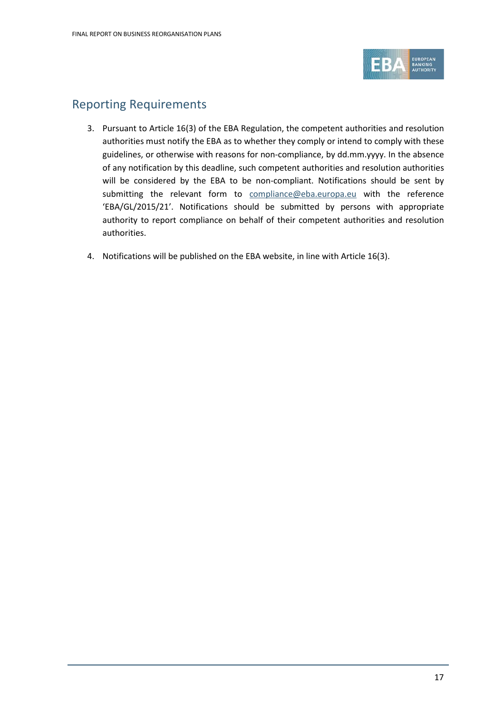

### Reporting Requirements

- 3. Pursuant to Article 16(3) of the EBA Regulation, the competent authorities and resolution authorities must notify the EBA as to whether they comply or intend to comply with these guidelines, or otherwise with reasons for non-compliance, by dd.mm.yyyy. In the absence of any notification by this deadline, such competent authorities and resolution authorities will be considered by the EBA to be non-compliant. Notifications should be sent by submitting the relevant form to [compliance@eba.europa.eu](mailto:compliance@eba.europa.eu) with the reference 'EBA/GL/2015/21'. Notifications should be submitted by persons with appropriate authority to report compliance on behalf of their competent authorities and resolution authorities.
- 4. Notifications will be published on the EBA website, in line with Article 16(3).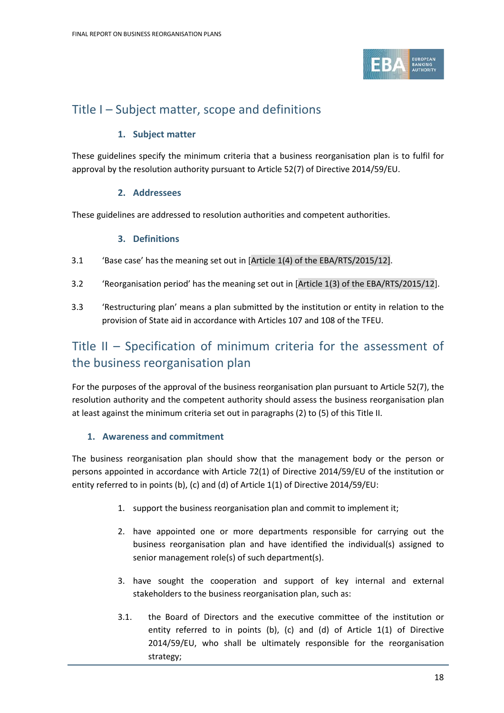

### Title I – Subject matter, scope and definitions

#### **1. Subject matter**

These guidelines specify the minimum criteria that a business reorganisation plan is to fulfil for approval by the resolution authority pursuant to Article 52(7) of Directive 2014/59/EU.

#### **2. Addressees**

These guidelines are addressed to resolution authorities and competent authorities.

#### **3. Definitions**

- 3.1 'Base case' has the meaning set out in [Article 1(4) of the EBA/RTS/2015/12].
- 3.2 'Reorganisation period' has the meaning set out in [Article 1(3) of the EBA/RTS/2015/12].
- 3.3 'Restructuring plan' means a plan submitted by the institution or entity in relation to the provision of State aid in accordance with Articles 107 and 108 of the TFEU.

## Title II – Specification of minimum criteria for the assessment of the business reorganisation plan

For the purposes of the approval of the business reorganisation plan pursuant to Article 52(7), the resolution authority and the competent authority should assess the business reorganisation plan at least against the minimum criteria set out in paragraphs (2) to (5) of this Title II.

#### **1. Awareness and commitment**

The business reorganisation plan should show that the management body or the person or persons appointed in accordance with Article 72(1) of Directive 2014/59/EU of the institution or entity referred to in points (b), (c) and (d) of Article 1(1) of Directive 2014/59/EU:

- 1. support the business reorganisation plan and commit to implement it;
- 2. have appointed one or more departments responsible for carrying out the business reorganisation plan and have identified the individual(s) assigned to senior management role(s) of such department(s).
- 3. have sought the cooperation and support of key internal and external stakeholders to the business reorganisation plan, such as:
- 3.1. the Board of Directors and the executive committee of the institution or entity referred to in points (b), (c) and (d) of Article 1(1) of Directive 2014/59/EU, who shall be ultimately responsible for the reorganisation strategy;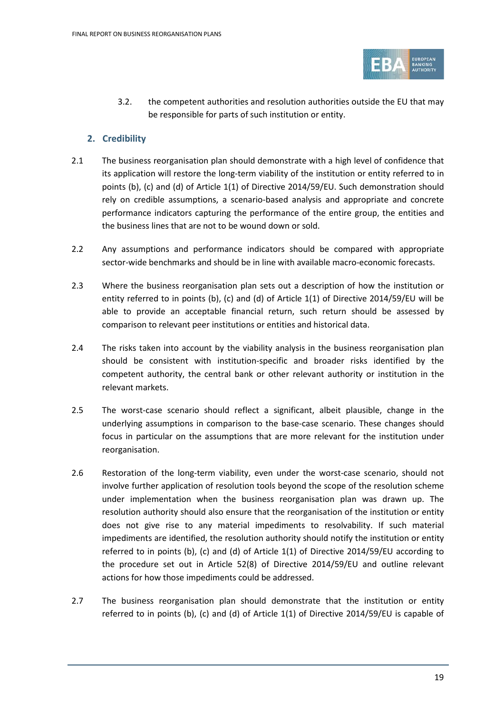

3.2. the competent authorities and resolution authorities outside the EU that may be responsible for parts of such institution or entity.

#### **2. Credibility**

- 2.1 The business reorganisation plan should demonstrate with a high level of confidence that its application will restore the long-term viability of the institution or entity referred to in points (b), (c) and (d) of Article 1(1) of Directive 2014/59/EU. Such demonstration should rely on credible assumptions, a scenario-based analysis and appropriate and concrete performance indicators capturing the performance of the entire group, the entities and the business lines that are not to be wound down or sold.
- 2.2 Any assumptions and performance indicators should be compared with appropriate sector-wide benchmarks and should be in line with available macro-economic forecasts.
- 2.3 Where the business reorganisation plan sets out a description of how the institution or entity referred to in points (b), (c) and (d) of Article 1(1) of Directive 2014/59/EU will be able to provide an acceptable financial return, such return should be assessed by comparison to relevant peer institutions or entities and historical data.
- 2.4 The risks taken into account by the viability analysis in the business reorganisation plan should be consistent with institution-specific and broader risks identified by the competent authority, the central bank or other relevant authority or institution in the relevant markets.
- 2.5 The worst-case scenario should reflect a significant, albeit plausible, change in the underlying assumptions in comparison to the base-case scenario. These changes should focus in particular on the assumptions that are more relevant for the institution under reorganisation.
- 2.6 Restoration of the long-term viability, even under the worst-case scenario, should not involve further application of resolution tools beyond the scope of the resolution scheme under implementation when the business reorganisation plan was drawn up. The resolution authority should also ensure that the reorganisation of the institution or entity does not give rise to any material impediments to resolvability. If such material impediments are identified, the resolution authority should notify the institution or entity referred to in points (b), (c) and (d) of Article 1(1) of Directive 2014/59/EU according to the procedure set out in Article 52(8) of Directive 2014/59/EU and outline relevant actions for how those impediments could be addressed.
- 2.7 The business reorganisation plan should demonstrate that the institution or entity referred to in points (b), (c) and (d) of Article 1(1) of Directive 2014/59/EU is capable of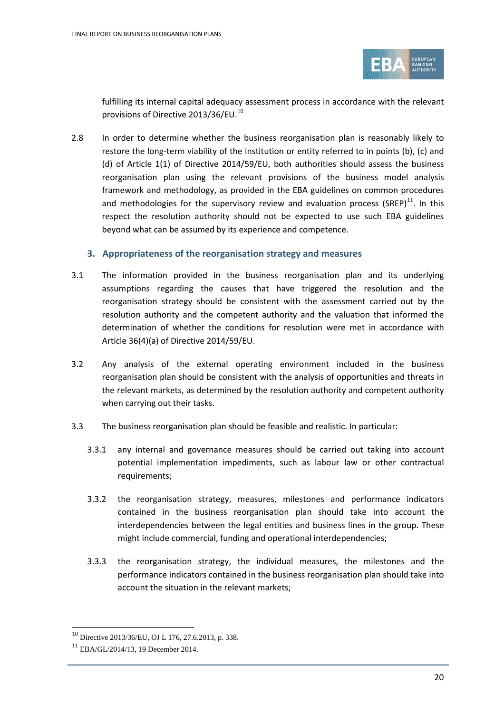

fulfilling its internal capital adequacy assessment process in accordance with the relevant provisions of Directive 2013/36/EU.<sup>[10](#page-19-0)</sup>

2.8 In order to determine whether the business reorganisation plan is reasonably likely to restore the long-term viability of the institution or entity referred to in points (b), (c) and (d) of Article 1(1) of Directive 2014/59/EU, both authorities should assess the business reorganisation plan using the relevant provisions of the business model analysis framework and methodology, as provided in the EBA guidelines on common procedures and methodologies for the supervisory review and evaluation process (SREP) $^{11}$ . In this respect the resolution authority should not be expected to use such EBA guidelines beyond what can be assumed by its experience and competence.

#### **3. Appropriateness of the reorganisation strategy and measures**

- 3.1 The information provided in the business reorganisation plan and its underlying assumptions regarding the causes that have triggered the resolution and the reorganisation strategy should be consistent with the assessment carried out by the resolution authority and the competent authority and the valuation that informed the determination of whether the conditions for resolution were met in accordance with Article 36(4)(a) of Directive 2014/59/EU.
- 3.2 Any analysis of the external operating environment included in the business reorganisation plan should be consistent with the analysis of opportunities and threats in the relevant markets, as determined by the resolution authority and competent authority when carrying out their tasks.
- 3.3 The business reorganisation plan should be feasible and realistic. In particular:
	- 3.3.1 any internal and governance measures should be carried out taking into account potential implementation impediments, such as labour law or other contractual requirements;
	- 3.3.2 the reorganisation strategy, measures, milestones and performance indicators contained in the business reorganisation plan should take into account the interdependencies between the legal entities and business lines in the group. These might include commercial, funding and operational interdependencies;
	- 3.3.3 the reorganisation strategy, the individual measures, the milestones and the performance indicators contained in the business reorganisation plan should take into account the situation in the relevant markets;

 $\overline{a}$ 

<span id="page-19-0"></span><sup>10</sup> Directive 2013/36/EU, OJ L 176, 27.6.2013, p. 338.

<span id="page-19-1"></span><sup>11</sup> EBA/GL/2014/13, 19 December 2014.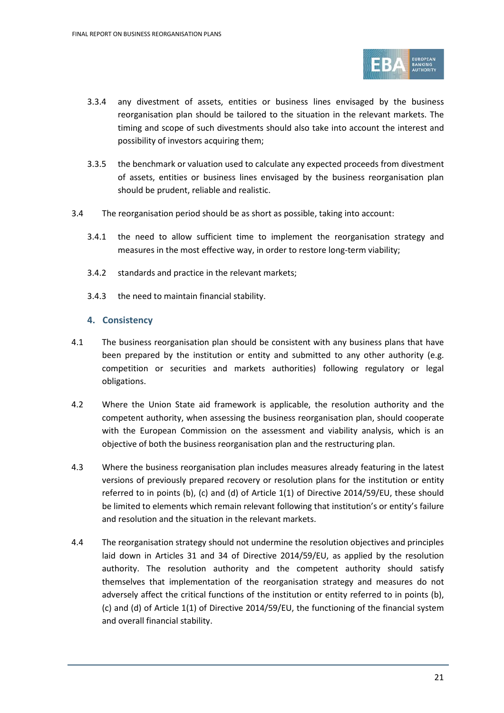

- 3.3.4 any divestment of assets, entities or business lines envisaged by the business reorganisation plan should be tailored to the situation in the relevant markets. The timing and scope of such divestments should also take into account the interest and possibility of investors acquiring them;
- 3.3.5 the benchmark or valuation used to calculate any expected proceeds from divestment of assets, entities or business lines envisaged by the business reorganisation plan should be prudent, reliable and realistic.
- 3.4 The reorganisation period should be as short as possible, taking into account:
	- 3.4.1 the need to allow sufficient time to implement the reorganisation strategy and measures in the most effective way, in order to restore long-term viability;
	- 3.4.2 standards and practice in the relevant markets;
	- 3.4.3 the need to maintain financial stability.

#### **4. Consistency**

- 4.1 The business reorganisation plan should be consistent with any business plans that have been prepared by the institution or entity and submitted to any other authority (e.g. competition or securities and markets authorities) following regulatory or legal obligations.
- 4.2 Where the Union State aid framework is applicable, the resolution authority and the competent authority, when assessing the business reorganisation plan, should cooperate with the European Commission on the assessment and viability analysis, which is an objective of both the business reorganisation plan and the restructuring plan.
- 4.3 Where the business reorganisation plan includes measures already featuring in the latest versions of previously prepared recovery or resolution plans for the institution or entity referred to in points (b), (c) and (d) of Article 1(1) of Directive 2014/59/EU, these should be limited to elements which remain relevant following that institution's or entity's failure and resolution and the situation in the relevant markets.
- 4.4 The reorganisation strategy should not undermine the resolution objectives and principles laid down in Articles 31 and 34 of Directive 2014/59/EU, as applied by the resolution authority. The resolution authority and the competent authority should satisfy themselves that implementation of the reorganisation strategy and measures do not adversely affect the critical functions of the institution or entity referred to in points (b), (c) and (d) of Article 1(1) of Directive 2014/59/EU, the functioning of the financial system and overall financial stability.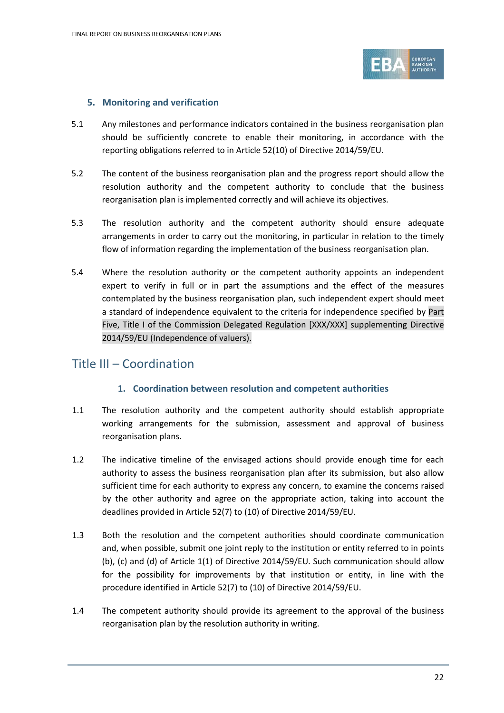

#### **5. Monitoring and verification**

- 5.1 Any milestones and performance indicators contained in the business reorganisation plan should be sufficiently concrete to enable their monitoring, in accordance with the reporting obligations referred to in Article 52(10) of Directive 2014/59/EU.
- 5.2 The content of the business reorganisation plan and the progress report should allow the resolution authority and the competent authority to conclude that the business reorganisation plan is implemented correctly and will achieve its objectives.
- 5.3 The resolution authority and the competent authority should ensure adequate arrangements in order to carry out the monitoring, in particular in relation to the timely flow of information regarding the implementation of the business reorganisation plan.
- 5.4 Where the resolution authority or the competent authority appoints an independent expert to verify in full or in part the assumptions and the effect of the measures contemplated by the business reorganisation plan, such independent expert should meet a standard of independence equivalent to the criteria for independence specified by Part Five, Title I of the Commission Delegated Regulation [XXX/XXX] supplementing Directive 2014/59/EU (Independence of valuers).

### Title III – Coordination

#### **1. Coordination between resolution and competent authorities**

- 1.1 The resolution authority and the competent authority should establish appropriate working arrangements for the submission, assessment and approval of business reorganisation plans.
- 1.2 The indicative timeline of the envisaged actions should provide enough time for each authority to assess the business reorganisation plan after its submission, but also allow sufficient time for each authority to express any concern, to examine the concerns raised by the other authority and agree on the appropriate action, taking into account the deadlines provided in Article 52(7) to (10) of Directive 2014/59/EU.
- 1.3 Both the resolution and the competent authorities should coordinate communication and, when possible, submit one joint reply to the institution or entity referred to in points (b), (c) and (d) of Article 1(1) of Directive 2014/59/EU. Such communication should allow for the possibility for improvements by that institution or entity, in line with the procedure identified in Article 52(7) to (10) of Directive 2014/59/EU.
- 1.4 The competent authority should provide its agreement to the approval of the business reorganisation plan by the resolution authority in writing.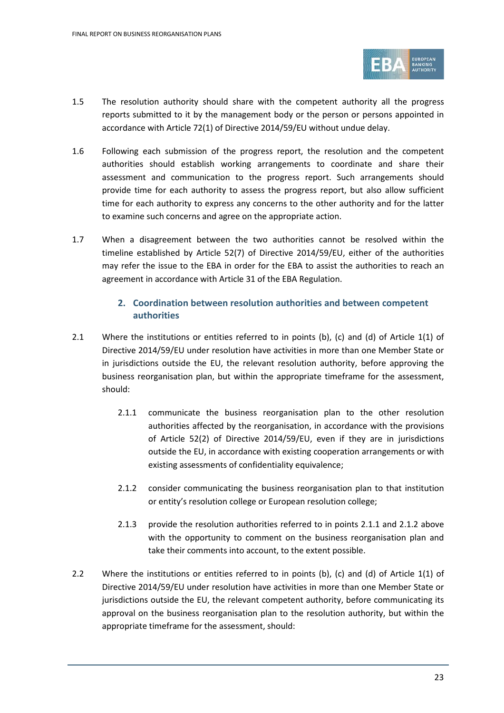

- 1.5 The resolution authority should share with the competent authority all the progress reports submitted to it by the management body or the person or persons appointed in accordance with Article 72(1) of Directive 2014/59/EU without undue delay.
- 1.6 Following each submission of the progress report, the resolution and the competent authorities should establish working arrangements to coordinate and share their assessment and communication to the progress report. Such arrangements should provide time for each authority to assess the progress report, but also allow sufficient time for each authority to express any concerns to the other authority and for the latter to examine such concerns and agree on the appropriate action.
- 1.7 When a disagreement between the two authorities cannot be resolved within the timeline established by Article 52(7) of Directive 2014/59/EU, either of the authorities may refer the issue to the EBA in order for the EBA to assist the authorities to reach an agreement in accordance with Article 31 of the EBA Regulation.

#### **2. Coordination between resolution authorities and between competent authorities**

- 2.1 Where the institutions or entities referred to in points (b), (c) and (d) of Article 1(1) of Directive 2014/59/EU under resolution have activities in more than one Member State or in jurisdictions outside the EU, the relevant resolution authority, before approving the business reorganisation plan, but within the appropriate timeframe for the assessment, should:
	- 2.1.1 communicate the business reorganisation plan to the other resolution authorities affected by the reorganisation, in accordance with the provisions of Article 52(2) of Directive 2014/59/EU, even if they are in jurisdictions outside the EU, in accordance with existing cooperation arrangements or with existing assessments of confidentiality equivalence;
	- 2.1.2 consider communicating the business reorganisation plan to that institution or entity's resolution college or European resolution college;
	- 2.1.3 provide the resolution authorities referred to in points 2.1.1 and 2.1.2 above with the opportunity to comment on the business reorganisation plan and take their comments into account, to the extent possible.
- 2.2 Where the institutions or entities referred to in points (b), (c) and (d) of Article 1(1) of Directive 2014/59/EU under resolution have activities in more than one Member State or jurisdictions outside the EU, the relevant competent authority, before communicating its approval on the business reorganisation plan to the resolution authority, but within the appropriate timeframe for the assessment, should: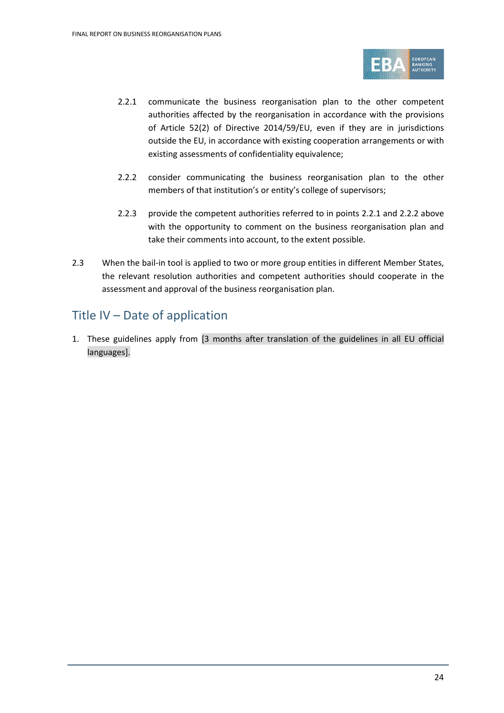

- 2.2.1 communicate the business reorganisation plan to the other competent authorities affected by the reorganisation in accordance with the provisions of Article 52(2) of Directive 2014/59/EU, even if they are in jurisdictions outside the EU, in accordance with existing cooperation arrangements or with existing assessments of confidentiality equivalence;
- 2.2.2 consider communicating the business reorganisation plan to the other members of that institution's or entity's college of supervisors;
- 2.2.3 provide the competent authorities referred to in points 2.2.1 and 2.2.2 above with the opportunity to comment on the business reorganisation plan and take their comments into account, to the extent possible.
- 2.3 When the bail-in tool is applied to two or more group entities in different Member States, the relevant resolution authorities and competent authorities should cooperate in the assessment and approval of the business reorganisation plan.

## Title IV – Date of application

1. These guidelines apply from [3 months after translation of the guidelines in all EU official languages].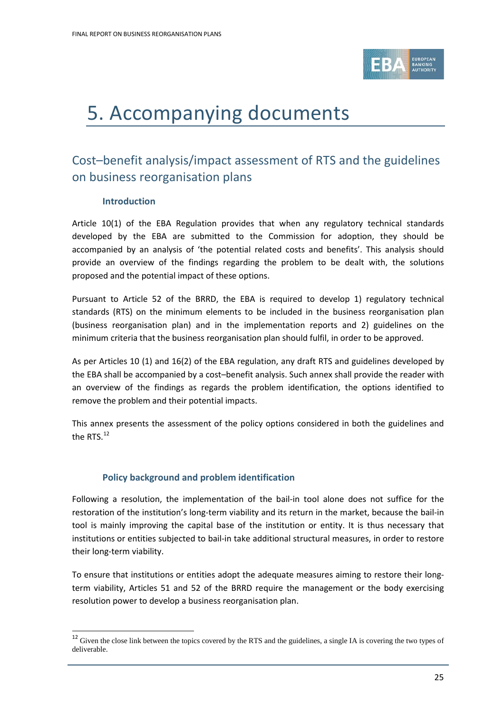

# <span id="page-24-0"></span>5. Accompanying documents

# Cost–benefit analysis/impact assessment of RTS and the guidelines on business reorganisation plans

#### **Introduction**

 $\overline{a}$ 

Article 10(1) of the EBA Regulation provides that when any regulatory technical standards developed by the EBA are submitted to the Commission for adoption, they should be accompanied by an analysis of 'the potential related costs and benefits'. This analysis should provide an overview of the findings regarding the problem to be dealt with, the solutions proposed and the potential impact of these options.

Pursuant to Article 52 of the BRRD, the EBA is required to develop 1) regulatory technical standards (RTS) on the minimum elements to be included in the business reorganisation plan (business reorganisation plan) and in the implementation reports and 2) guidelines on the minimum criteria that the business reorganisation plan should fulfil, in order to be approved.

As per Articles 10 (1) and 16(2) of the EBA regulation, any draft RTS and guidelines developed by the EBA shall be accompanied by a cost–benefit analysis. Such annex shall provide the reader with an overview of the findings as regards the problem identification, the options identified to remove the problem and their potential impacts.

This annex presents the assessment of the policy options considered in both the guidelines and the RTS. $^{12}$  $^{12}$  $^{12}$ 

#### **Policy background and problem identification**

Following a resolution, the implementation of the bail-in tool alone does not suffice for the restoration of the institution's long-term viability and its return in the market, because the bail-in tool is mainly improving the capital base of the institution or entity. It is thus necessary that institutions or entities subjected to bail-in take additional structural measures, in order to restore their long-term viability.

To ensure that institutions or entities adopt the adequate measures aiming to restore their longterm viability, Articles 51 and 52 of the BRRD require the management or the body exercising resolution power to develop a business reorganisation plan.

<span id="page-24-1"></span><sup>&</sup>lt;sup>12</sup> Given the close link between the topics covered by the RTS and the guidelines, a single IA is covering the two types of deliverable.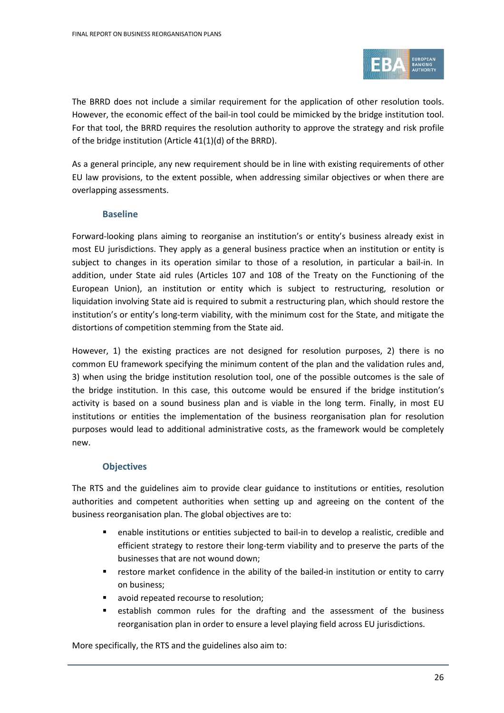

The BRRD does not include a similar requirement for the application of other resolution tools. However, the economic effect of the bail-in tool could be mimicked by the bridge institution tool. For that tool, the BRRD requires the resolution authority to approve the strategy and risk profile of the bridge institution (Article 41(1)(d) of the BRRD).

As a general principle, any new requirement should be in line with existing requirements of other EU law provisions, to the extent possible, when addressing similar objectives or when there are overlapping assessments.

#### **Baseline**

Forward-looking plans aiming to reorganise an institution's or entity's business already exist in most EU jurisdictions. They apply as a general business practice when an institution or entity is subject to changes in its operation similar to those of a resolution, in particular a bail-in. In addition, under State aid rules (Articles 107 and 108 of the Treaty on the Functioning of the European Union), an institution or entity which is subject to restructuring, resolution or liquidation involving State aid is required to submit a restructuring plan, which should restore the institution's or entity's long-term viability, with the minimum cost for the State, and mitigate the distortions of competition stemming from the State aid.

However, 1) the existing practices are not designed for resolution purposes, 2) there is no common EU framework specifying the minimum content of the plan and the validation rules and, 3) when using the bridge institution resolution tool, one of the possible outcomes is the sale of the bridge institution. In this case, this outcome would be ensured if the bridge institution's activity is based on a sound business plan and is viable in the long term. Finally, in most EU institutions or entities the implementation of the business reorganisation plan for resolution purposes would lead to additional administrative costs, as the framework would be completely new.

#### **Objectives**

The RTS and the guidelines aim to provide clear guidance to institutions or entities, resolution authorities and competent authorities when setting up and agreeing on the content of the business reorganisation plan. The global objectives are to:

- enable institutions or entities subjected to bail-in to develop a realistic, credible and efficient strategy to restore their long-term viability and to preserve the parts of the businesses that are not wound down;
- **F** restore market confidence in the ability of the bailed-in institution or entity to carry on business;
- value value of recourse to resolution;
- establish common rules for the drafting and the assessment of the business reorganisation plan in order to ensure a level playing field across EU jurisdictions.

More specifically, the RTS and the guidelines also aim to: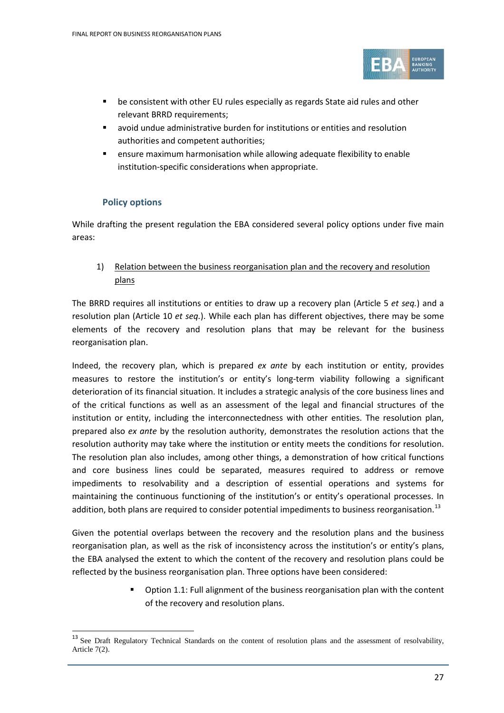

- be consistent with other EU rules especially as regards State aid rules and other relevant BRRD requirements;
- avoid undue administrative burden for institutions or entities and resolution authorities and competent authorities;
- ensure maximum harmonisation while allowing adequate flexibility to enable institution-specific considerations when appropriate.

#### **Policy options**

 $\overline{a}$ 

While drafting the present regulation the EBA considered several policy options under five main areas:

1) Relation between the business reorganisation plan and the recovery and resolution plans

The BRRD requires all institutions or entities to draw up a recovery plan (Article 5 *et seq.*) and a resolution plan (Article 10 *et seq.*). While each plan has different objectives, there may be some elements of the recovery and resolution plans that may be relevant for the business reorganisation plan.

Indeed, the recovery plan, which is prepared *ex ante* by each institution or entity, provides measures to restore the institution's or entity's long-term viability following a significant deterioration of its financial situation. It includes a strategic analysis of the core business lines and of the critical functions as well as an assessment of the legal and financial structures of the institution or entity, including the interconnectedness with other entities. The resolution plan, prepared also *ex ante* by the resolution authority, demonstrates the resolution actions that the resolution authority may take where the institution or entity meets the conditions for resolution. The resolution plan also includes, among other things, a demonstration of how critical functions and core business lines could be separated, measures required to address or remove impediments to resolvability and a description of essential operations and systems for maintaining the continuous functioning of the institution's or entity's operational processes. In addition, both plans are required to consider potential impediments to business reorganisation.<sup>[13](#page-26-0)</sup>

Given the potential overlaps between the recovery and the resolution plans and the business reorganisation plan, as well as the risk of inconsistency across the institution's or entity's plans, the EBA analysed the extent to which the content of the recovery and resolution plans could be reflected by the business reorganisation plan. Three options have been considered:

> Option 1.1: Full alignment of the business reorganisation plan with the content of the recovery and resolution plans.

<span id="page-26-0"></span><sup>&</sup>lt;sup>13</sup> See Draft Regulatory Technical Standards on the content of resolution plans and the assessment of resolvability, Article 7(2).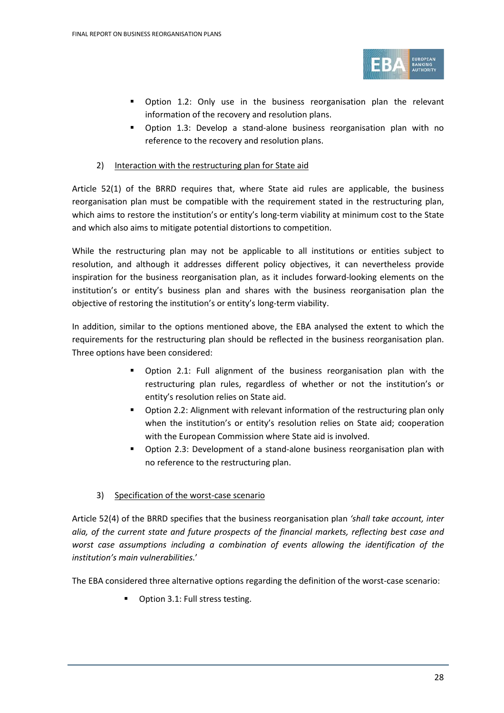

- Option 1.2: Only use in the business reorganisation plan the relevant information of the recovery and resolution plans.
- Option 1.3: Develop a stand-alone business reorganisation plan with no reference to the recovery and resolution plans.
- 2) Interaction with the restructuring plan for State aid

Article 52(1) of the BRRD requires that, where State aid rules are applicable, the business reorganisation plan must be compatible with the requirement stated in the restructuring plan, which aims to restore the institution's or entity's long-term viability at minimum cost to the State and which also aims to mitigate potential distortions to competition.

While the restructuring plan may not be applicable to all institutions or entities subject to resolution, and although it addresses different policy objectives, it can nevertheless provide inspiration for the business reorganisation plan, as it includes forward-looking elements on the institution's or entity's business plan and shares with the business reorganisation plan the objective of restoring the institution's or entity's long-term viability.

In addition, similar to the options mentioned above, the EBA analysed the extent to which the requirements for the restructuring plan should be reflected in the business reorganisation plan. Three options have been considered:

- Option 2.1: Full alignment of the business reorganisation plan with the restructuring plan rules, regardless of whether or not the institution's or entity's resolution relies on State aid.
- Option 2.2: Alignment with relevant information of the restructuring plan only when the institution's or entity's resolution relies on State aid; cooperation with the European Commission where State aid is involved.
- Option 2.3: Development of a stand-alone business reorganisation plan with no reference to the restructuring plan.

#### 3) Specification of the worst-case scenario

Article 52(4) of the BRRD specifies that the business reorganisation plan *'shall take account, inter alia, of the current state and future prospects of the financial markets, reflecting best case and worst case assumptions including a combination of events allowing the identification of the institution's main vulnerabilities.*'

The EBA considered three alternative options regarding the definition of the worst-case scenario:

■ Option 3.1: Full stress testing.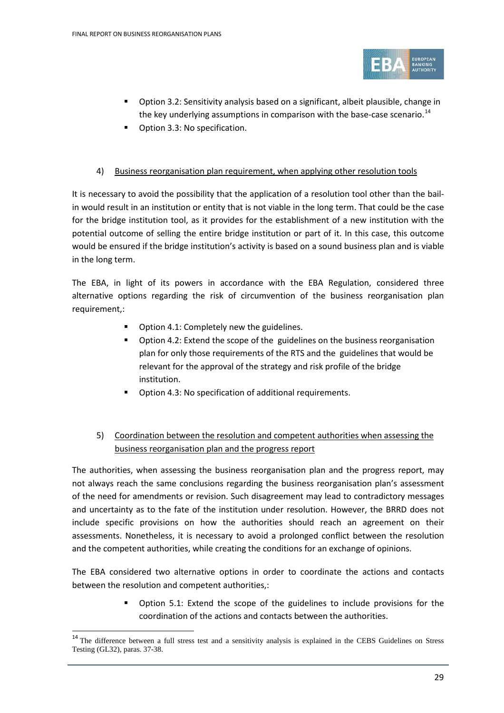

- Option 3.2: Sensitivity analysis based on a significant, albeit plausible, change in the key underlying assumptions in comparison with the base-case scenario.<sup>[14](#page-28-0)</sup>
- Option 3.3: No specification.

#### 4) Business reorganisation plan requirement, when applying other resolution tools

It is necessary to avoid the possibility that the application of a resolution tool other than the bailin would result in an institution or entity that is not viable in the long term. That could be the case for the bridge institution tool, as it provides for the establishment of a new institution with the potential outcome of selling the entire bridge institution or part of it. In this case, this outcome would be ensured if the bridge institution's activity is based on a sound business plan and is viable in the long term.

The EBA, in light of its powers in accordance with the EBA Regulation, considered three alternative options regarding the risk of circumvention of the business reorganisation plan requirement,:

- **•** Option 4.1: Completely new the guidelines.
- Option 4.2: Extend the scope of the guidelines on the business reorganisation plan for only those requirements of the RTS and the guidelines that would be relevant for the approval of the strategy and risk profile of the bridge institution.
- Option 4.3: No specification of additional requirements.

#### 5) Coordination between the resolution and competent authorities when assessing the business reorganisation plan and the progress report

The authorities, when assessing the business reorganisation plan and the progress report, may not always reach the same conclusions regarding the business reorganisation plan's assessment of the need for amendments or revision. Such disagreement may lead to contradictory messages and uncertainty as to the fate of the institution under resolution. However, the BRRD does not include specific provisions on how the authorities should reach an agreement on their assessments. Nonetheless, it is necessary to avoid a prolonged conflict between the resolution and the competent authorities, while creating the conditions for an exchange of opinions.

The EBA considered two alternative options in order to coordinate the actions and contacts between the resolution and competent authorities,:

> Option 5.1: Extend the scope of the guidelines to include provisions for the coordination of the actions and contacts between the authorities.

 $\overline{a}$ 

<span id="page-28-0"></span><sup>&</sup>lt;sup>14</sup> The difference between a full stress test and a sensitivity analysis is explained in the CEBS Guidelines on Stress Testing (GL32), paras. 37-38.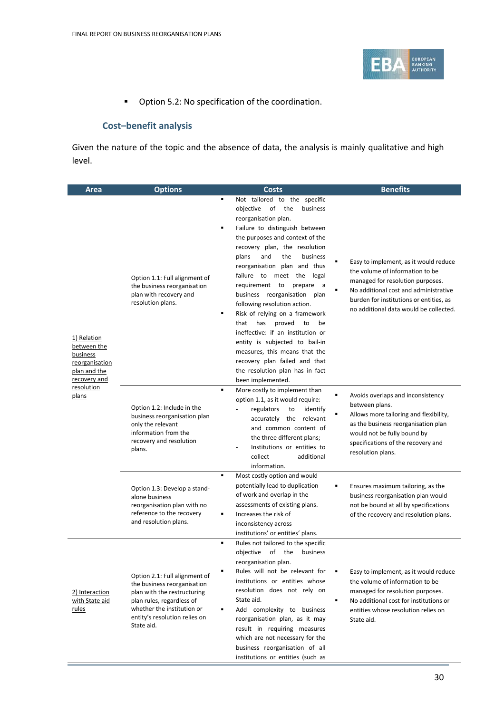

**•** Option 5.2: No specification of the coordination.

#### **Cost–benefit analysis**

Given the nature of the topic and the absence of data, the analysis is mainly qualitative and high level.

| Area                                                                                                   | <b>Options</b>                                                                                                                                                                                        | Costs                                                                                                                                                                                                                                                                                                                                                                                                                                                                                                                                                                                                                                                                                  | <b>Benefits</b>                                                                                                                                                                                                                            |
|--------------------------------------------------------------------------------------------------------|-------------------------------------------------------------------------------------------------------------------------------------------------------------------------------------------------------|----------------------------------------------------------------------------------------------------------------------------------------------------------------------------------------------------------------------------------------------------------------------------------------------------------------------------------------------------------------------------------------------------------------------------------------------------------------------------------------------------------------------------------------------------------------------------------------------------------------------------------------------------------------------------------------|--------------------------------------------------------------------------------------------------------------------------------------------------------------------------------------------------------------------------------------------|
| 1) Relation<br>between the<br>business<br>reorganisation<br>plan and the<br>recovery and<br>resolution | Option 1.1: Full alignment of<br>the business reorganisation<br>plan with recovery and<br>resolution plans.                                                                                           | Not tailored to the specific<br>٠<br>objective of<br>the<br>business<br>reorganisation plan.<br>Failure to distinguish between<br>٠<br>the purposes and context of the<br>recovery plan, the resolution<br>the<br>business<br>plans<br>and<br>reorganisation plan and thus<br>failure to meet the<br>legal<br>requirement to<br>prepare a<br>business reorganisation plan<br>following resolution action.<br>Risk of relying on a framework<br>٠<br>has<br>proved<br>that<br>to<br>be<br>ineffective: if an institution or<br>entity is subjected to bail-in<br>measures, this means that the<br>recovery plan failed and that<br>the resolution plan has in fact<br>been implemented. | Easy to implement, as it would reduce<br>the volume of information to be<br>managed for resolution purposes.<br>No additional cost and administrative<br>burden for institutions or entities, as<br>no additional data would be collected. |
| plans                                                                                                  | Option 1.2: Include in the<br>business reorganisation plan<br>only the relevant<br>information from the<br>recovery and resolution<br>plans.                                                          | More costly to implement than<br>٠<br>option 1.1, as it would require:<br>regulators<br>to<br>identify<br>accurately the relevant<br>and common content of<br>the three different plans;<br>Institutions or entities to<br>collect<br>additional<br>information.                                                                                                                                                                                                                                                                                                                                                                                                                       | Avoids overlaps and inconsistency<br>between plans.<br>Allows more tailoring and flexibility,<br>as the business reorganisation plan<br>would not be fully bound by<br>specifications of the recovery and<br>resolution plans.             |
|                                                                                                        | Option 1.3: Develop a stand-<br>alone business<br>reorganisation plan with no<br>reference to the recovery<br>and resolution plans.                                                                   | ٠<br>Most costly option and would<br>potentially lead to duplication<br>of work and overlap in the<br>assessments of existing plans.<br>Increases the risk of<br>$\blacksquare$<br>inconsistency across<br>institutions' or entities' plans.                                                                                                                                                                                                                                                                                                                                                                                                                                           | Ensures maximum tailoring, as the<br>business reorganisation plan would<br>not be bound at all by specifications<br>of the recovery and resolution plans.                                                                                  |
| 2) Interaction<br>with State aid<br>rules                                                              | Option 2.1: Full alignment of<br>the business reorganisation<br>plan with the restructuring<br>plan rules, regardless of<br>whether the institution or<br>entity's resolution relies on<br>State aid. | Rules not tailored to the specific<br>٠<br>objective<br>of the<br>business<br>reorganisation plan.<br>Rules will not be relevant for<br>institutions or entities whose<br>resolution does not rely on<br>State aid.<br>Add complexity to business<br>٠<br>reorganisation plan, as it may<br>result in requiring measures<br>which are not necessary for the<br>business reorganisation of all<br>institutions or entities (such as                                                                                                                                                                                                                                                     | Easy to implement, as it would reduce<br>the volume of information to be<br>managed for resolution purposes.<br>No additional cost for institutions or<br>entities whose resolution relies on<br>State aid.                                |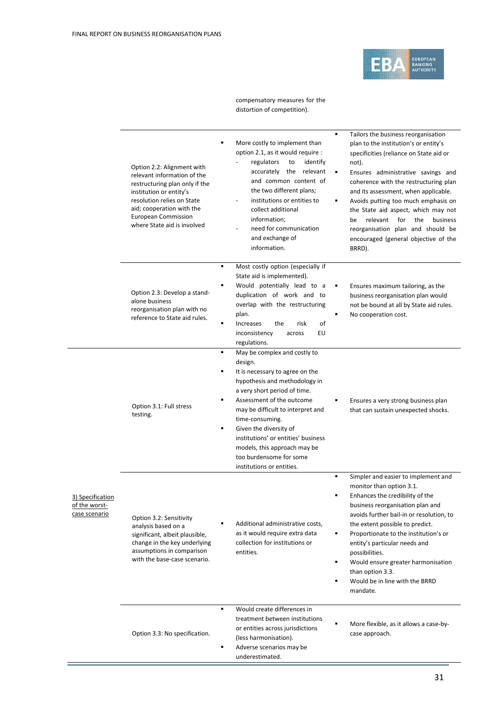

compensatory measures for the distortion of competition).

|                                                    | Option 2.2: Alignment with<br>relevant information of the<br>restructuring plan only if the<br>institution or entity's<br>resolution relies on State<br>aid; cooperation with the<br><b>European Commission</b><br>where State aid is involved | ٠<br>More costly to implement than<br>option 2.1, as it would require :<br>regulators<br>identify<br>to<br>accurately the relevant<br>and common content of<br>the two different plans;<br>institutions or entities to<br>collect additional<br>information;<br>need for communication<br>and exchange of<br>information.                                                                                     | ٠<br>Tailors the business reorganisation<br>plan to the institution's or entity's<br>specificities (reliance on State aid or<br>not).<br>٠<br>Ensures administrative savings and<br>coherence with the restructuring plan<br>and its assessment, when applicable.<br>Avoids putting too much emphasis on<br>٠<br>the State aid aspect, which may not<br>relevant<br>for<br>the<br>business<br>be<br>reorganisation plan and should be<br>encouraged (general objective of the<br>BRRD). |
|----------------------------------------------------|------------------------------------------------------------------------------------------------------------------------------------------------------------------------------------------------------------------------------------------------|---------------------------------------------------------------------------------------------------------------------------------------------------------------------------------------------------------------------------------------------------------------------------------------------------------------------------------------------------------------------------------------------------------------|-----------------------------------------------------------------------------------------------------------------------------------------------------------------------------------------------------------------------------------------------------------------------------------------------------------------------------------------------------------------------------------------------------------------------------------------------------------------------------------------|
|                                                    | Option 2.3: Develop a stand-<br>alone business<br>reorganisation plan with no<br>reference to State aid rules.                                                                                                                                 | ٠<br>Most costly option (especially if<br>State aid is implemented).<br>٠<br>Would potentially lead to a<br>duplication of work and to<br>overlap with the restructuring<br>plan.<br>of<br>٠<br>Increases<br>the<br>risk<br>EU<br>inconsistency<br>across<br>regulations.                                                                                                                                     | Ensures maximum tailoring, as the<br>٠<br>business reorganisation plan would<br>not be bound at all by State aid rules.<br>٠<br>No cooperation cost.                                                                                                                                                                                                                                                                                                                                    |
|                                                    | Option 3.1: Full stress<br>testing.                                                                                                                                                                                                            | May be complex and costly to<br>٠<br>design.<br>It is necessary to agree on the<br>٠<br>hypothesis and methodology in<br>a very short period of time.<br>Assessment of the outcome<br>٠<br>may be difficult to interpret and<br>time-consuming.<br>Given the diversity of<br>٠<br>institutions' or entities' business<br>models, this approach may be<br>too burdensome for some<br>institutions or entities. | Ensures a very strong business plan<br>that can sustain unexpected shocks.                                                                                                                                                                                                                                                                                                                                                                                                              |
| 3) Specification<br>of the worst-<br>case scenario | Option 3.2: Sensitivity<br>analysis based on a<br>significant, albeit plausible,<br>change in the key underlying<br>assumptions in comparison<br>with the base-case scenario.                                                                  | Additional administrative costs,<br>as it would require extra data<br>collection for institutions or<br>entities.                                                                                                                                                                                                                                                                                             | ٠<br>Simpler and easier to implement and<br>monitor than option 3.1.<br>Enhances the credibility of the<br>business reorganisation plan and<br>avoids further bail-in or resolution, to<br>the extent possible to predict.<br>Proportionate to the institution's or<br>٠<br>entity's particular needs and<br>possibilities.<br>Would ensure greater harmonisation<br>٠<br>than option 3.3.<br>Would be in line with the BRRD<br>mandate.                                                |
|                                                    | Option 3.3: No specification.                                                                                                                                                                                                                  | Would create differences in<br>٠<br>treatment between institutions<br>or entities across jurisdictions<br>(less harmonisation).<br>٠<br>Adverse scenarios may be<br>underestimated.                                                                                                                                                                                                                           | More flexible, as it allows a case-by-<br>case approach.                                                                                                                                                                                                                                                                                                                                                                                                                                |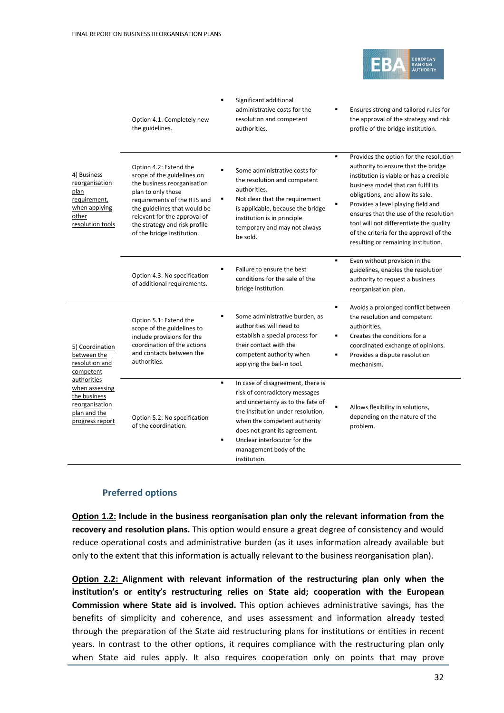

|                                                                                                            | Option 4.1: Completely new<br>the guidelines.                                                                                                                                                                                                                           | Significant additional<br>administrative costs for the<br>resolution and competent<br>authorities.                                                                                                                                                                                                              | Ensures strong and tailored rules for<br>the approval of the strategy and risk<br>profile of the bridge institution.                                                                                                                                                                                                                                                                                                      |
|------------------------------------------------------------------------------------------------------------|-------------------------------------------------------------------------------------------------------------------------------------------------------------------------------------------------------------------------------------------------------------------------|-----------------------------------------------------------------------------------------------------------------------------------------------------------------------------------------------------------------------------------------------------------------------------------------------------------------|---------------------------------------------------------------------------------------------------------------------------------------------------------------------------------------------------------------------------------------------------------------------------------------------------------------------------------------------------------------------------------------------------------------------------|
| 4) Business<br>reorganisation<br>plan<br><u>requirement,</u><br>when applying<br>other<br>resolution tools | Option 4.2: Extend the<br>scope of the guidelines on<br>the business reorganisation<br>plan to only those<br>requirements of the RTS and<br>the guidelines that would be<br>relevant for the approval of<br>the strategy and risk profile<br>of the bridge institution. | Some administrative costs for<br>the resolution and competent<br>authorities.<br>٠<br>Not clear that the requirement<br>is applicable, because the bridge<br>institution is in principle<br>temporary and may not always<br>be sold.                                                                            | Provides the option for the resolution<br>٠<br>authority to ensure that the bridge<br>institution is viable or has a credible<br>business model that can fulfil its<br>obligations, and allow its sale.<br>Provides a level playing field and<br>٠<br>ensures that the use of the resolution<br>tool will not differentiate the quality<br>of the criteria for the approval of the<br>resulting or remaining institution. |
|                                                                                                            | Option 4.3: No specification<br>of additional requirements.                                                                                                                                                                                                             | Failure to ensure the best<br>conditions for the sale of the<br>bridge institution.                                                                                                                                                                                                                             | ٠<br>Even without provision in the<br>guidelines, enables the resolution<br>authority to request a business<br>reorganisation plan.                                                                                                                                                                                                                                                                                       |
| 5) Coordination<br>between the<br>resolution and<br>competent                                              | Option 5.1: Extend the<br>scope of the guidelines to<br>include provisions for the<br>coordination of the actions<br>and contacts between the<br>authorities.                                                                                                           | Some administrative burden, as<br>٠<br>authorities will need to<br>establish a special process for<br>their contact with the<br>competent authority when<br>applying the bail-in tool.                                                                                                                          | Avoids a prolonged conflict between<br>٠<br>the resolution and competent<br>authorities.<br>Creates the conditions for a<br>٠<br>coordinated exchange of opinions.<br>Provides a dispute resolution<br>٠<br>mechanism.                                                                                                                                                                                                    |
| authorities<br>when assessing<br>the business<br>reorganisation<br>plan and the<br>progress report         | Option 5.2: No specification<br>of the coordination.                                                                                                                                                                                                                    | $\blacksquare$<br>In case of disagreement, there is<br>risk of contradictory messages<br>and uncertainty as to the fate of<br>the institution under resolution,<br>when the competent authority<br>does not grant its agreement.<br>Unclear interlocutor for the<br>٠<br>management body of the<br>institution. | Allows flexibility in solutions,<br>depending on the nature of the<br>problem.                                                                                                                                                                                                                                                                                                                                            |

#### **Preferred options**

**Option 1.2: Include in the business reorganisation plan only the relevant information from the recovery and resolution plans.** This option would ensure a great degree of consistency and would reduce operational costs and administrative burden (as it uses information already available but only to the extent that this information is actually relevant to the business reorganisation plan).

**Option 2.2: Alignment with relevant information of the restructuring plan only when the institution's or entity's restructuring relies on State aid; cooperation with the European Commission where State aid is involved.** This option achieves administrative savings, has the benefits of simplicity and coherence, and uses assessment and information already tested through the preparation of the State aid restructuring plans for institutions or entities in recent years. In contrast to the other options, it requires compliance with the restructuring plan only when State aid rules apply. It also requires cooperation only on points that may prove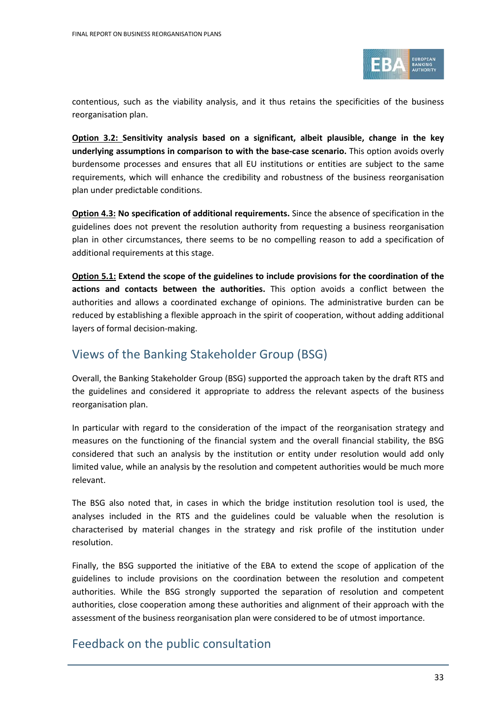

contentious, such as the viability analysis, and it thus retains the specificities of the business reorganisation plan.

**Option 3.2: Sensitivity analysis based on a significant, albeit plausible, change in the key underlying assumptions in comparison to with the base-case scenario.** This option avoids overly burdensome processes and ensures that all EU institutions or entities are subject to the same requirements, which will enhance the credibility and robustness of the business reorganisation plan under predictable conditions.

**Option 4.3: No specification of additional requirements.** Since the absence of specification in the guidelines does not prevent the resolution authority from requesting a business reorganisation plan in other circumstances, there seems to be no compelling reason to add a specification of additional requirements at this stage.

**Option 5.1: Extend the scope of the guidelines to include provisions for the coordination of the actions and contacts between the authorities.** This option avoids a conflict between the authorities and allows a coordinated exchange of opinions. The administrative burden can be reduced by establishing a flexible approach in the spirit of cooperation, without adding additional layers of formal decision-making.

### <span id="page-32-0"></span>Views of the Banking Stakeholder Group (BSG)

Overall, the Banking Stakeholder Group (BSG) supported the approach taken by the draft RTS and the guidelines and considered it appropriate to address the relevant aspects of the business reorganisation plan.

In particular with regard to the consideration of the impact of the reorganisation strategy and measures on the functioning of the financial system and the overall financial stability, the BSG considered that such an analysis by the institution or entity under resolution would add only limited value, while an analysis by the resolution and competent authorities would be much more relevant.

The BSG also noted that, in cases in which the bridge institution resolution tool is used, the analyses included in the RTS and the guidelines could be valuable when the resolution is characterised by material changes in the strategy and risk profile of the institution under resolution.

Finally, the BSG supported the initiative of the EBA to extend the scope of application of the guidelines to include provisions on the coordination between the resolution and competent authorities. While the BSG strongly supported the separation of resolution and competent authorities, close cooperation among these authorities and alignment of their approach with the assessment of the business reorganisation plan were considered to be of utmost importance.

### <span id="page-32-1"></span>Feedback on the public consultation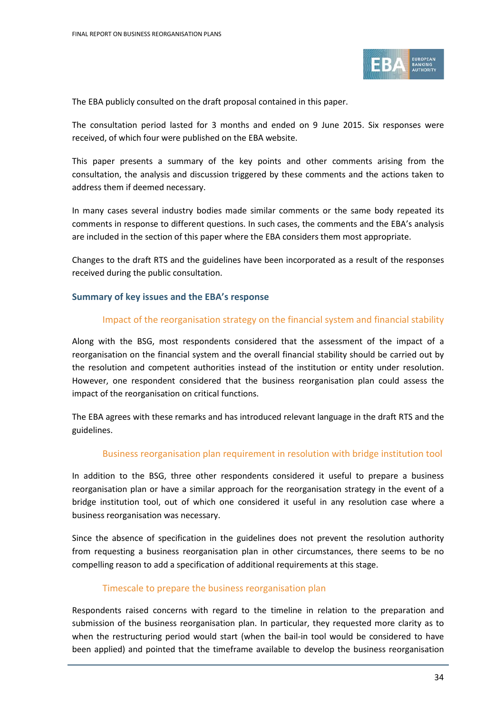

The EBA publicly consulted on the draft proposal contained in this paper.

The consultation period lasted for 3 months and ended on 9 June 2015. Six responses were received, of which four were published on the EBA website.

This paper presents a summary of the key points and other comments arising from the consultation, the analysis and discussion triggered by these comments and the actions taken to address them if deemed necessary.

In many cases several industry bodies made similar comments or the same body repeated its comments in response to different questions. In such cases, the comments and the EBA's analysis are included in the section of this paper where the EBA considers them most appropriate.

Changes to the draft RTS and the guidelines have been incorporated as a result of the responses received during the public consultation.

#### **Summary of key issues and the EBA's response**

#### Impact of the reorganisation strategy on the financial system and financial stability

Along with the BSG, most respondents considered that the assessment of the impact of a reorganisation on the financial system and the overall financial stability should be carried out by the resolution and competent authorities instead of the institution or entity under resolution. However, one respondent considered that the business reorganisation plan could assess the impact of the reorganisation on critical functions.

The EBA agrees with these remarks and has introduced relevant language in the draft RTS and the guidelines.

#### Business reorganisation plan requirement in resolution with bridge institution tool

In addition to the BSG, three other respondents considered it useful to prepare a business reorganisation plan or have a similar approach for the reorganisation strategy in the event of a bridge institution tool, out of which one considered it useful in any resolution case where a business reorganisation was necessary.

Since the absence of specification in the guidelines does not prevent the resolution authority from requesting a business reorganisation plan in other circumstances, there seems to be no compelling reason to add a specification of additional requirements at this stage.

#### Timescale to prepare the business reorganisation plan

Respondents raised concerns with regard to the timeline in relation to the preparation and submission of the business reorganisation plan. In particular, they requested more clarity as to when the restructuring period would start (when the bail-in tool would be considered to have been applied) and pointed that the timeframe available to develop the business reorganisation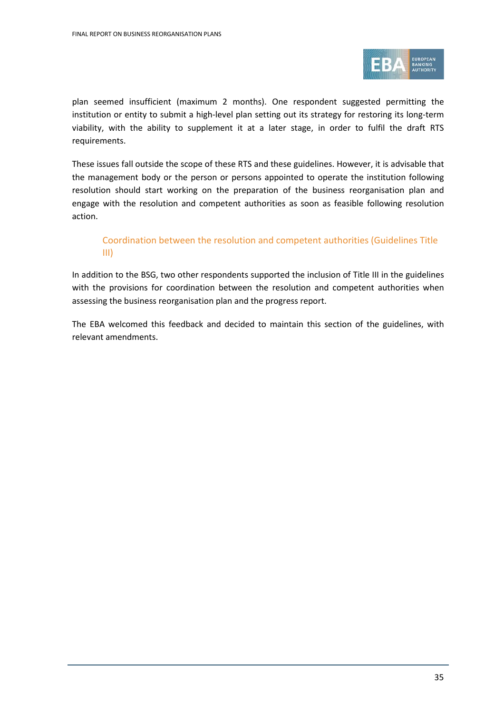

plan seemed insufficient (maximum 2 months). One respondent suggested permitting the institution or entity to submit a high-level plan setting out its strategy for restoring its long-term viability, with the ability to supplement it at a later stage, in order to fulfil the draft RTS requirements.

These issues fall outside the scope of these RTS and these guidelines. However, it is advisable that the management body or the person or persons appointed to operate the institution following resolution should start working on the preparation of the business reorganisation plan and engage with the resolution and competent authorities as soon as feasible following resolution action.

#### Coordination between the resolution and competent authorities (Guidelines Title III)

In addition to the BSG, two other respondents supported the inclusion of Title III in the guidelines with the provisions for coordination between the resolution and competent authorities when assessing the business reorganisation plan and the progress report.

The EBA welcomed this feedback and decided to maintain this section of the guidelines, with relevant amendments.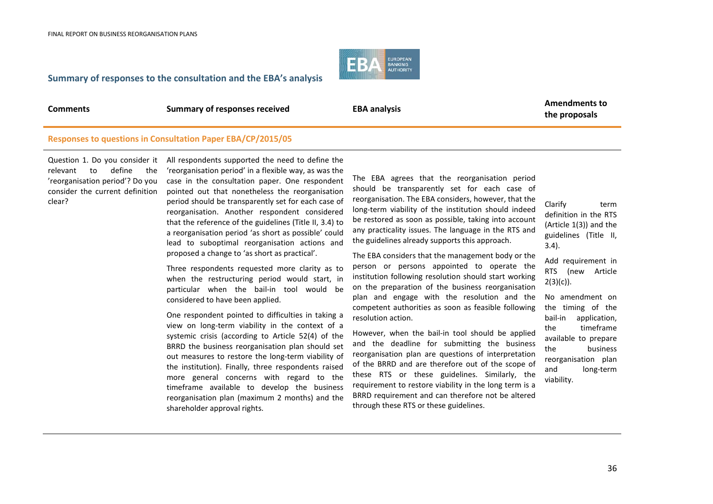

#### **Summary of responses to the consultation and the EBA's analysis**

**Comments EBA analysis EBA analysis EBA analysis EBA EBA EBA EBA EBA EBA EBA EBA EBA EBA EBA EBA EBA EBA EBA EBA EBA EBA EBA EBA EBA EBA EBA EBA EBA EBA EBA EBA the proposals**

#### **Responses to questions in Consultation Paper EBA/CP/2015/05**

Question 1. Do you consider it relevant to define the 'reorganisation period'? Do you consider the current definition clear?

All respondents supported the need to define the 'reorganisation period' in a flexible way, as was the case in the consultation paper. One respondent pointed out that nonetheless the reorganisation period should be transparently set for each case of reorganisation. Another respondent considered that the reference of the guidelines (Title II, 3.4) to a reorganisation period 'as short as possible' could lead to suboptimal reorganisation actions and proposed a change to 'as short as practical'.

Three respondents requested more clarity as to when the restructuring period would start, in particular when the bail-in tool would be considered to have been applied.

One respondent pointed to difficulties in taking a view on long-term viability in the context of a systemic crisis (according to Article 52(4) of the BRRD the business reorganisation plan should set out measures to restore the long-term viability of the institution). Finally, three respondents raised more general concerns with regard to the timeframe available to develop the business reorganisation plan (maximum 2 months) and the shareholder approval rights.

The EBA agrees that the reorganisation period should be transparently set for each case of reorganisation. The EBA considers, however, that the long-term viability of the institution should indeed be restored as soon as possible, taking into account any practicality issues. The language in the RTS and the guidelines already supports this approach.

The EBA considers that the management body or the person or persons appointed to operate the institution following resolution should start working on the preparation of the business reorganisation plan and engage with the resolution and the competent authorities as soon as feasible following resolution action.

However, when the bail-in tool should be applied and the deadline for submitting the business reorganisation plan are questions of interpretation of the BRRD and are therefore out of the scope of these RTS or these guidelines. Similarly, the requirement to restore viability in the long term is a BRRD requirement and can therefore not be altered through these RTS or these guidelines.

Clarify term definition in the RTS (Article 1(3)) and the guidelines (Title II, 3.4).

Add requirement in RTS (new Article  $2(3)(c)$ ).

No amendment on the timing of the bail-in application, the timeframe available to prepare the business reorganisation plan and long-term viability.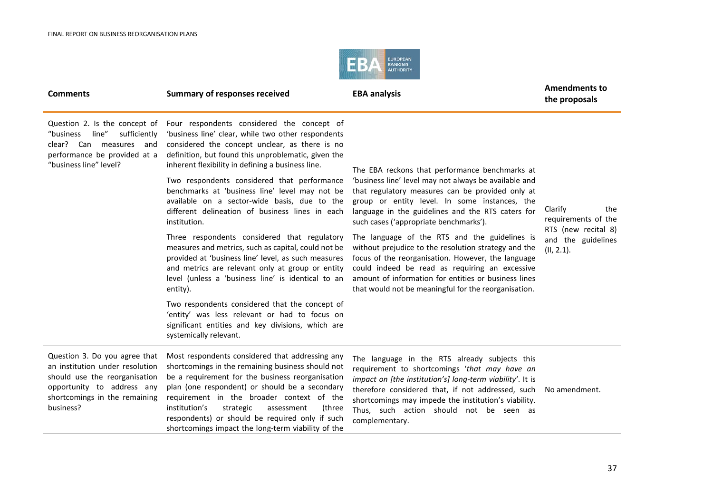

| <b>Comments</b>                                                                                                                                                               | <b>Summary of responses received</b>                                                                                                                                                                                                                                                                                                                                                                                                                                                                                                                                                                                                                                                                                                                                                                                                                                                                                                                     | <b>EBA analysis</b>                                                                                                                                                                                                                                                                                                                                                                                                                                                                                                                                                                                                                          | <b>Amendments to</b><br>the proposals                                                            |
|-------------------------------------------------------------------------------------------------------------------------------------------------------------------------------|----------------------------------------------------------------------------------------------------------------------------------------------------------------------------------------------------------------------------------------------------------------------------------------------------------------------------------------------------------------------------------------------------------------------------------------------------------------------------------------------------------------------------------------------------------------------------------------------------------------------------------------------------------------------------------------------------------------------------------------------------------------------------------------------------------------------------------------------------------------------------------------------------------------------------------------------------------|----------------------------------------------------------------------------------------------------------------------------------------------------------------------------------------------------------------------------------------------------------------------------------------------------------------------------------------------------------------------------------------------------------------------------------------------------------------------------------------------------------------------------------------------------------------------------------------------------------------------------------------------|--------------------------------------------------------------------------------------------------|
| Question 2. Is the concept of<br>line"<br>sufficiently<br>"business<br>clear? Can measures and<br>performance be provided at a<br>"business line" level?                      | Four respondents considered the concept of<br>'business line' clear, while two other respondents<br>considered the concept unclear, as there is no<br>definition, but found this unproblematic, given the<br>inherent flexibility in defining a business line.<br>Two respondents considered that performance<br>benchmarks at 'business line' level may not be<br>available on a sector-wide basis, due to the<br>different delineation of business lines in each<br>institution.<br>Three respondents considered that regulatory<br>measures and metrics, such as capital, could not be<br>provided at 'business line' level, as such measures<br>and metrics are relevant only at group or entity<br>level (unless a 'business line' is identical to an<br>entity).<br>Two respondents considered that the concept of<br>'entity' was less relevant or had to focus on<br>significant entities and key divisions, which are<br>systemically relevant. | The EBA reckons that performance benchmarks at<br>'business line' level may not always be available and<br>that regulatory measures can be provided only at<br>group or entity level. In some instances, the<br>language in the guidelines and the RTS caters for<br>such cases ('appropriate benchmarks').<br>The language of the RTS and the guidelines is<br>without prejudice to the resolution strategy and the<br>focus of the reorganisation. However, the language<br>could indeed be read as requiring an excessive<br>amount of information for entities or business lines<br>that would not be meaningful for the reorganisation. | Clarify<br>the<br>requirements of the<br>RTS (new recital 8)<br>and the guidelines<br>(II, 2.1). |
| Question 3. Do you agree that<br>an institution under resolution<br>should use the reorganisation<br>opportunity to address any<br>shortcomings in the remaining<br>business? | Most respondents considered that addressing any<br>shortcomings in the remaining business should not<br>be a requirement for the business reorganisation<br>plan (one respondent) or should be a secondary<br>requirement in the broader context of the<br>institution's<br>(three<br>strategic<br>assessment<br>respondents) or should be required only if such<br>shortcomings impact the long-term viability of the                                                                                                                                                                                                                                                                                                                                                                                                                                                                                                                                   | The language in the RTS already subjects this<br>requirement to shortcomings 'that may have an<br>impact on [the institution's] long-term viability'. It is<br>therefore considered that, if not addressed, such<br>shortcomings may impede the institution's viability.<br>Thus, such action should not be seen as<br>complementary.                                                                                                                                                                                                                                                                                                        | No amendment.                                                                                    |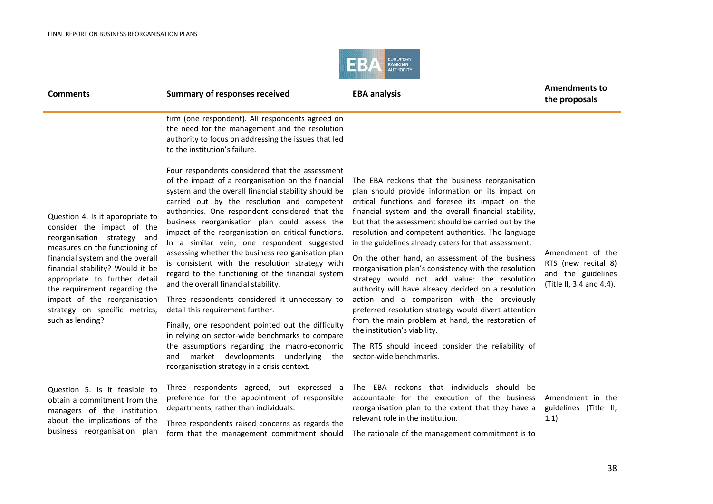

| <b>Comments</b>                                                                                                                                                                                                                                                                                                                                                | <b>Summary of responses received</b>                                                                                                                                                                                                                                                                                                                                                                                                                                                                                                                                                                                                                                                                                                                                                                                                                                                                                                                                        | <b>EBA analysis</b>                                                                                                                                                                                                                                                                                                                                                                                                                                                                                                                                                                                                                                                                                                                                                                                                                                                                      | <b>Amendments to</b><br>the proposals                                                     |
|----------------------------------------------------------------------------------------------------------------------------------------------------------------------------------------------------------------------------------------------------------------------------------------------------------------------------------------------------------------|-----------------------------------------------------------------------------------------------------------------------------------------------------------------------------------------------------------------------------------------------------------------------------------------------------------------------------------------------------------------------------------------------------------------------------------------------------------------------------------------------------------------------------------------------------------------------------------------------------------------------------------------------------------------------------------------------------------------------------------------------------------------------------------------------------------------------------------------------------------------------------------------------------------------------------------------------------------------------------|------------------------------------------------------------------------------------------------------------------------------------------------------------------------------------------------------------------------------------------------------------------------------------------------------------------------------------------------------------------------------------------------------------------------------------------------------------------------------------------------------------------------------------------------------------------------------------------------------------------------------------------------------------------------------------------------------------------------------------------------------------------------------------------------------------------------------------------------------------------------------------------|-------------------------------------------------------------------------------------------|
|                                                                                                                                                                                                                                                                                                                                                                | firm (one respondent). All respondents agreed on<br>the need for the management and the resolution<br>authority to focus on addressing the issues that led<br>to the institution's failure.                                                                                                                                                                                                                                                                                                                                                                                                                                                                                                                                                                                                                                                                                                                                                                                 |                                                                                                                                                                                                                                                                                                                                                                                                                                                                                                                                                                                                                                                                                                                                                                                                                                                                                          |                                                                                           |
| Question 4. Is it appropriate to<br>consider the impact of the<br>reorganisation strategy and<br>measures on the functioning of<br>financial system and the overall<br>financial stability? Would it be<br>appropriate to further detail<br>the requirement regarding the<br>impact of the reorganisation<br>strategy on specific metrics,<br>such as lending? | Four respondents considered that the assessment<br>of the impact of a reorganisation on the financial<br>system and the overall financial stability should be<br>carried out by the resolution and competent<br>authorities. One respondent considered that the<br>business reorganisation plan could assess the<br>impact of the reorganisation on critical functions.<br>In a similar vein, one respondent suggested<br>assessing whether the business reorganisation plan<br>is consistent with the resolution strategy with<br>regard to the functioning of the financial system<br>and the overall financial stability.<br>Three respondents considered it unnecessary to<br>detail this requirement further.<br>Finally, one respondent pointed out the difficulty<br>in relying on sector-wide benchmarks to compare<br>the assumptions regarding the macro-economic<br>market developments underlying<br>and<br>the<br>reorganisation strategy in a crisis context. | The EBA reckons that the business reorganisation<br>plan should provide information on its impact on<br>critical functions and foresee its impact on the<br>financial system and the overall financial stability,<br>but that the assessment should be carried out by the<br>resolution and competent authorities. The language<br>in the guidelines already caters for that assessment.<br>On the other hand, an assessment of the business<br>reorganisation plan's consistency with the resolution<br>strategy would not add value: the resolution<br>authority will have already decided on a resolution<br>action and a comparison with the previously<br>preferred resolution strategy would divert attention<br>from the main problem at hand, the restoration of<br>the institution's viability.<br>The RTS should indeed consider the reliability of<br>sector-wide benchmarks. | Amendment of the<br>RTS (new recital 8)<br>and the guidelines<br>(Title II, 3.4 and 4.4). |
| Question 5. Is it feasible to<br>obtain a commitment from the<br>managers of the institution<br>about the implications of the<br>business reorganisation plan                                                                                                                                                                                                  | Three respondents agreed, but expressed a<br>preference for the appointment of responsible<br>departments, rather than individuals.<br>Three respondents raised concerns as regards the<br>form that the management commitment should                                                                                                                                                                                                                                                                                                                                                                                                                                                                                                                                                                                                                                                                                                                                       | The EBA reckons that individuals should be<br>accountable for the execution of the business<br>reorganisation plan to the extent that they have a<br>relevant role in the institution.<br>The rationale of the management commitment is to                                                                                                                                                                                                                                                                                                                                                                                                                                                                                                                                                                                                                                               | Amendment in the<br>guidelines (Title II,<br>(1.1).                                       |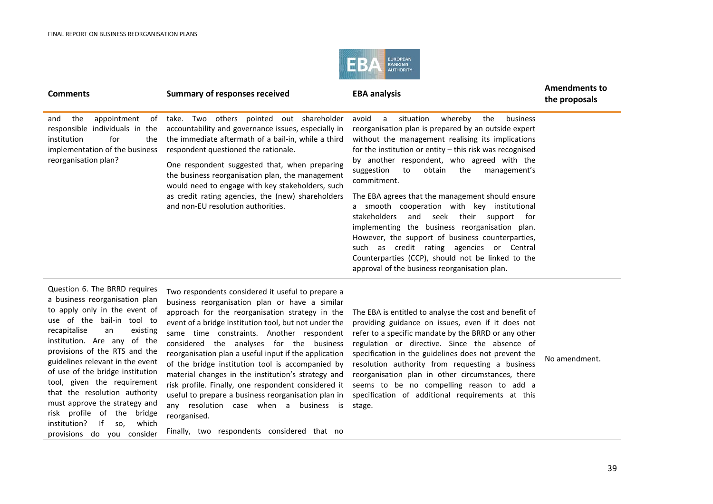

#### **Comments EBA analysis Comments EBA EBA EBA EBA EBA EBA EBA EBA EBA EBA EBA EBA EBA EBA EBA EBA EBA EBA EBA EBA EBA EBA EBA EBA EBA EBA EBA EBA EBA EBA EBA the proposals** and the appointment of responsible individuals in the institution for the implementation of the business reorganisation plan? take. Two others pointed out shareholder accountability and governance issues, especially in the immediate aftermath of a bail-in, while a third respondent questioned the rationale. One respondent suggested that, when preparing the business reorganisation plan, the management would need to engage with key stakeholders, such as credit rating agencies, the (new) shareholders and non-EU resolution authorities. avoid a situation whereby the business reorganisation plan is prepared by an outside expert without the management realising its implications for the institution or entity – this risk was recognised by another respondent, who agreed with the suggestion to obtain the management's commitment. The EBA agrees that the management should ensure a smooth cooperation with key institutional stakeholders and seek their support for implementing the business reorganisation plan. However, the support of business counterparties, such as credit rating agencies or Central Counterparties (CCP), should not be linked to the

Question 6. The BRRD requires a business reorganisation plan to apply only in the event of use of the bail-in tool to recapitalise an existing institution. Are any of the provisions of the RTS and the guidelines relevant in the event of use of the bridge institution tool, given the requirement that the resolution authority must approve the strategy and risk profile of the bridge institution? If so, which provisions do you consider

Two respondents considered it useful to prepare a business reorganisation plan or have a similar approach for the reorganisation strategy in the event of a bridge institution tool, but not under the same time constraints. Another respondent considered the analyses for the business reorganisation plan a useful input if the application of the bridge institution tool is accompanied by material changes in the institution's strategy and risk profile. Finally, one respondent considered it useful to prepare a business reorganisation plan in any resolution case when a business is reorganised.

Finally, two respondents considered that no

The EBA is entitled to analyse the cost and benefit of providing guidance on issues, even if it does not refer to a specific mandate by the BRRD or any other regulation or directive. Since the absence of specification in the guidelines does not prevent the resolution authority from requesting a business reorganisation plan in other circumstances, there seems to be no compelling reason to add a specification of additional requirements at this stage.

approval of the business reorganisation plan.

No amendment.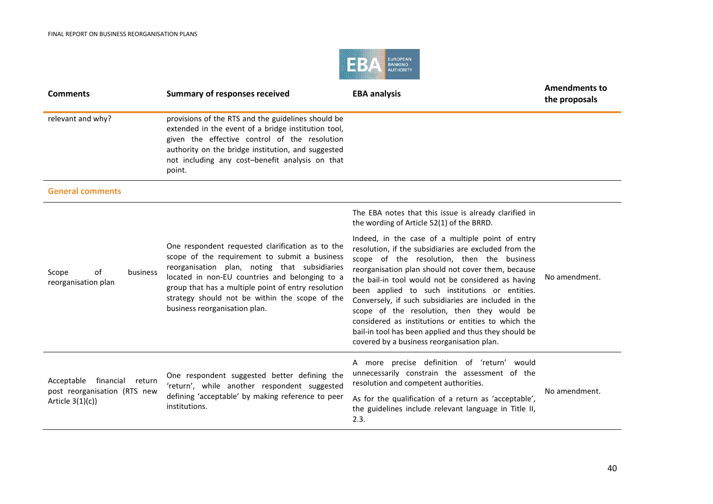

| <b>Comments</b>                                                                        | <b>Summary of responses received</b>                                                                                                                                                                                                                                                                                                           | <b>EBA analysis</b>                                                                                                                                                                                                                                                                                                                                                                                                                                                                                                                                                                        | <b>Amendments to</b><br>the proposals |
|----------------------------------------------------------------------------------------|------------------------------------------------------------------------------------------------------------------------------------------------------------------------------------------------------------------------------------------------------------------------------------------------------------------------------------------------|--------------------------------------------------------------------------------------------------------------------------------------------------------------------------------------------------------------------------------------------------------------------------------------------------------------------------------------------------------------------------------------------------------------------------------------------------------------------------------------------------------------------------------------------------------------------------------------------|---------------------------------------|
| relevant and why?                                                                      | provisions of the RTS and the guidelines should be<br>extended in the event of a bridge institution tool,<br>given the effective control of the resolution<br>authority on the bridge institution, and suggested<br>not including any cost-benefit analysis on that<br>point.                                                                  |                                                                                                                                                                                                                                                                                                                                                                                                                                                                                                                                                                                            |                                       |
| <b>General comments</b>                                                                |                                                                                                                                                                                                                                                                                                                                                |                                                                                                                                                                                                                                                                                                                                                                                                                                                                                                                                                                                            |                                       |
|                                                                                        |                                                                                                                                                                                                                                                                                                                                                | The EBA notes that this issue is already clarified in<br>the wording of Article 52(1) of the BRRD.                                                                                                                                                                                                                                                                                                                                                                                                                                                                                         |                                       |
| Scope<br>0f<br>business<br>reorganisation plan                                         | One respondent requested clarification as to the<br>scope of the requirement to submit a business<br>reorganisation plan, noting that subsidiaries<br>located in non-EU countries and belonging to a<br>group that has a multiple point of entry resolution<br>strategy should not be within the scope of the<br>business reorganisation plan. | Indeed, in the case of a multiple point of entry<br>resolution, if the subsidiaries are excluded from the<br>scope of the resolution, then the business<br>reorganisation plan should not cover them, because<br>the bail-in tool would not be considered as having<br>been applied to such institutions or entities.<br>Conversely, if such subsidiaries are included in the<br>scope of the resolution, then they would be<br>considered as institutions or entities to which the<br>bail-in tool has been applied and thus they should be<br>covered by a business reorganisation plan. | No amendment.                         |
| Acceptable<br>financial<br>return<br>post reorganisation (RTS new<br>Article $3(1)(c)$ | One respondent suggested better defining the<br>'return', while another respondent suggested<br>defining 'acceptable' by making reference to peer<br>institutions.                                                                                                                                                                             | A more precise definition of 'return' would<br>unnecessarily constrain the assessment of the<br>resolution and competent authorities.<br>As for the qualification of a return as 'acceptable',<br>the guidelines include relevant language in Title II,<br>2.3.                                                                                                                                                                                                                                                                                                                            | No amendment.                         |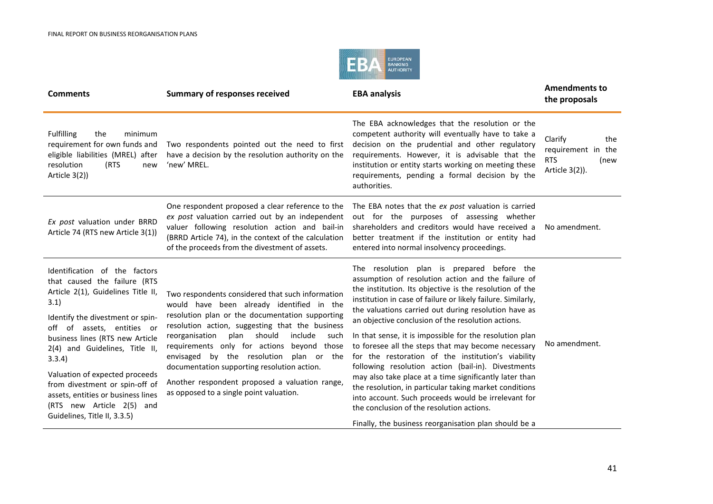

| <b>Summary of responses received</b>                                                                                                                                                                                                                                                                                                                                                                                                                                                         | <b>EBA analysis</b>                                                                                                                                                                                                                                                                                                                                                                                                                                                                                                                                                                                                                                                                                                                                                                            | <b>Amendments to</b><br>the proposals                                        |
|----------------------------------------------------------------------------------------------------------------------------------------------------------------------------------------------------------------------------------------------------------------------------------------------------------------------------------------------------------------------------------------------------------------------------------------------------------------------------------------------|------------------------------------------------------------------------------------------------------------------------------------------------------------------------------------------------------------------------------------------------------------------------------------------------------------------------------------------------------------------------------------------------------------------------------------------------------------------------------------------------------------------------------------------------------------------------------------------------------------------------------------------------------------------------------------------------------------------------------------------------------------------------------------------------|------------------------------------------------------------------------------|
| Two respondents pointed out the need to first<br>have a decision by the resolution authority on the<br>'new' MREL.                                                                                                                                                                                                                                                                                                                                                                           | The EBA acknowledges that the resolution or the<br>competent authority will eventually have to take a<br>decision on the prudential and other regulatory<br>requirements. However, it is advisable that the<br>institution or entity starts working on meeting these<br>requirements, pending a formal decision by the<br>authorities.                                                                                                                                                                                                                                                                                                                                                                                                                                                         | Clarify<br>the<br>requirement in the<br><b>RTS</b><br>(new<br>Article 3(2)). |
| One respondent proposed a clear reference to the<br>ex post valuation carried out by an independent<br>valuer following resolution action and bail-in<br>(BRRD Article 74), in the context of the calculation<br>of the proceeds from the divestment of assets.                                                                                                                                                                                                                              | The EBA notes that the ex post valuation is carried<br>out for the purposes of assessing whether<br>shareholders and creditors would have received a<br>better treatment if the institution or entity had<br>entered into normal insolvency proceedings.                                                                                                                                                                                                                                                                                                                                                                                                                                                                                                                                       | No amendment.                                                                |
| Two respondents considered that such information<br>would have been already identified in the<br>resolution plan or the documentation supporting<br>resolution action, suggesting that the business<br>include<br>plan should<br>reorganisation<br>such<br>requirements only for actions beyond those<br>envisaged by the resolution plan or the<br>documentation supporting resolution action.<br>Another respondent proposed a valuation range,<br>as opposed to a single point valuation. | The resolution plan is prepared before the<br>assumption of resolution action and the failure of<br>the institution. Its objective is the resolution of the<br>institution in case of failure or likely failure. Similarly,<br>the valuations carried out during resolution have as<br>an objective conclusion of the resolution actions.<br>In that sense, it is impossible for the resolution plan<br>to foresee all the steps that may become necessary<br>for the restoration of the institution's viability<br>following resolution action (bail-in). Divestments<br>may also take place at a time significantly later than<br>the resolution, in particular taking market conditions<br>into account. Such proceeds would be irrelevant for<br>the conclusion of the resolution actions. | No amendment.                                                                |
|                                                                                                                                                                                                                                                                                                                                                                                                                                                                                              |                                                                                                                                                                                                                                                                                                                                                                                                                                                                                                                                                                                                                                                                                                                                                                                                | Finally, the business reorganisation plan should be a                        |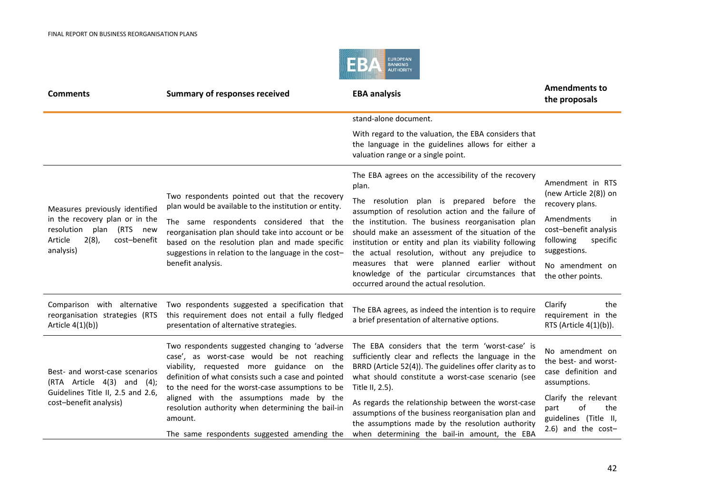

| <b>Comments</b>                                                                                                                                  | <b>Summary of responses received</b>                                                                                                                                                                                                                                                                                                    | <b>EBA analysis</b>                                                                                                                                                                                                                                                                                                                                                                                                                                                                                                               | <b>Amendments to</b><br>the proposals                                                                                                                                                      |
|--------------------------------------------------------------------------------------------------------------------------------------------------|-----------------------------------------------------------------------------------------------------------------------------------------------------------------------------------------------------------------------------------------------------------------------------------------------------------------------------------------|-----------------------------------------------------------------------------------------------------------------------------------------------------------------------------------------------------------------------------------------------------------------------------------------------------------------------------------------------------------------------------------------------------------------------------------------------------------------------------------------------------------------------------------|--------------------------------------------------------------------------------------------------------------------------------------------------------------------------------------------|
|                                                                                                                                                  |                                                                                                                                                                                                                                                                                                                                         | stand-alone document.                                                                                                                                                                                                                                                                                                                                                                                                                                                                                                             |                                                                                                                                                                                            |
|                                                                                                                                                  |                                                                                                                                                                                                                                                                                                                                         | With regard to the valuation, the EBA considers that<br>the language in the guidelines allows for either a<br>valuation range or a single point.                                                                                                                                                                                                                                                                                                                                                                                  |                                                                                                                                                                                            |
| Measures previously identified<br>in the recovery plan or in the<br>resolution plan (RTS new<br>Article<br>$2(8)$ ,<br>cost-benefit<br>analysis) | Two respondents pointed out that the recovery<br>plan would be available to the institution or entity.<br>The same respondents considered that the<br>reorganisation plan should take into account or be<br>based on the resolution plan and made specific<br>suggestions in relation to the language in the cost-<br>benefit analysis. | The EBA agrees on the accessibility of the recovery<br>plan.<br>The resolution plan is prepared before the<br>assumption of resolution action and the failure of<br>the institution. The business reorganisation plan<br>should make an assessment of the situation of the<br>institution or entity and plan its viability following<br>the actual resolution, without any prejudice to<br>measures that were planned earlier without<br>knowledge of the particular circumstances that<br>occurred around the actual resolution. | Amendment in RTS<br>(new Article 2(8)) on<br>recovery plans.<br>Amendments<br>in<br>cost-benefit analysis<br>following<br>specific<br>suggestions.<br>No amendment on<br>the other points. |
| Comparison with alternative<br>reorganisation strategies (RTS<br>Article $4(1)(b)$ )                                                             | Two respondents suggested a specification that<br>this requirement does not entail a fully fledged<br>presentation of alternative strategies.                                                                                                                                                                                           | The EBA agrees, as indeed the intention is to require<br>a brief presentation of alternative options.                                                                                                                                                                                                                                                                                                                                                                                                                             | Clarify<br>the<br>requirement in the<br>RTS (Article 4(1)(b)).                                                                                                                             |
| Best- and worst-case scenarios<br>(RTA Article 4(3) and (4);<br>Guidelines Title II, 2.5 and 2.6,                                                | Two respondents suggested changing to 'adverse<br>case', as worst-case would be not reaching<br>viability, requested more guidance on the<br>definition of what consists such a case and pointed<br>to the need for the worst-case assumptions to be<br>aligned with the assumptions made by the                                        | The EBA considers that the term 'worst-case' is<br>sufficiently clear and reflects the language in the<br>BRRD (Article 52(4)). The guidelines offer clarity as to<br>what should constitute a worst-case scenario (see<br>Title II, 2.5).                                                                                                                                                                                                                                                                                        | No amendment on<br>the best- and worst-<br>case definition and<br>assumptions.<br>Clarify the relevant                                                                                     |
| cost-benefit analysis)                                                                                                                           | resolution authority when determining the bail-in<br>amount.<br>The same respondents suggested amending the                                                                                                                                                                                                                             | As regards the relationship between the worst-case<br>assumptions of the business reorganisation plan and<br>the assumptions made by the resolution authority<br>when determining the bail-in amount, the EBA                                                                                                                                                                                                                                                                                                                     | of<br>the<br>part<br>guidelines (Title II,<br>$2.6$ ) and the cost-                                                                                                                        |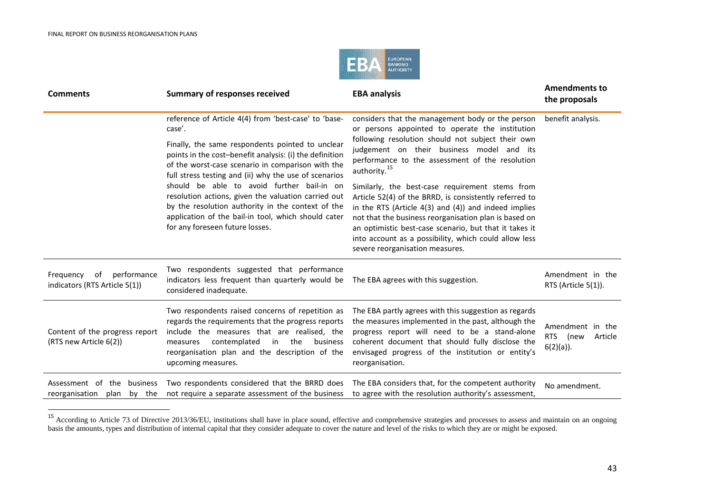<span id="page-42-0"></span>

| <b>Comments</b>                                              | <b>Summary of responses received</b>                                                                                                                                                                                                                                                                                                                                                                                                                                          | <b>EBA analysis</b>                                                                                                                                                                                                                                                                                                                                                                   | <b>Amendments to</b><br>the proposals                          |
|--------------------------------------------------------------|-------------------------------------------------------------------------------------------------------------------------------------------------------------------------------------------------------------------------------------------------------------------------------------------------------------------------------------------------------------------------------------------------------------------------------------------------------------------------------|---------------------------------------------------------------------------------------------------------------------------------------------------------------------------------------------------------------------------------------------------------------------------------------------------------------------------------------------------------------------------------------|----------------------------------------------------------------|
|                                                              | reference of Article 4(4) from 'best-case' to 'base-<br>case'.                                                                                                                                                                                                                                                                                                                                                                                                                | considers that the management body or the person<br>or persons appointed to operate the institution                                                                                                                                                                                                                                                                                   | benefit analysis.                                              |
|                                                              | Finally, the same respondents pointed to unclear<br>points in the cost-benefit analysis: (i) the definition<br>of the worst-case scenario in comparison with the<br>full stress testing and (ii) why the use of scenarios<br>should be able to avoid further bail-in on<br>resolution actions, given the valuation carried out<br>by the resolution authority in the context of the<br>application of the bail-in tool, which should cater<br>for any foreseen future losses. | following resolution should not subject their own<br>judgement on their business model and its<br>performance to the assessment of the resolution<br>authority. <sup>15</sup>                                                                                                                                                                                                         |                                                                |
|                                                              |                                                                                                                                                                                                                                                                                                                                                                                                                                                                               | Similarly, the best-case requirement stems from<br>Article 52(4) of the BRRD, is consistently referred to<br>in the RTS (Article $4(3)$ and $(4)$ ) and indeed implies<br>not that the business reorganisation plan is based on<br>an optimistic best-case scenario, but that it takes it<br>into account as a possibility, which could allow less<br>severe reorganisation measures. |                                                                |
| of performance<br>Frequency<br>indicators (RTS Article 5(1)) | Two respondents suggested that performance<br>indicators less frequent than quarterly would be<br>considered inadequate.                                                                                                                                                                                                                                                                                                                                                      | The EBA agrees with this suggestion.                                                                                                                                                                                                                                                                                                                                                  | Amendment in the<br>RTS (Article 5(1)).                        |
| Content of the progress report<br>(RTS new Article 6(2))     | Two respondents raised concerns of repetition as<br>regards the requirements that the progress reports<br>include the measures that are realised, the<br>contemplated<br>in the<br>business<br>measures<br>reorganisation plan and the description of the<br>upcoming measures.                                                                                                                                                                                               | The EBA partly agrees with this suggestion as regards<br>the measures implemented in the past, although the<br>progress report will need to be a stand-alone<br>coherent document that should fully disclose the<br>envisaged progress of the institution or entity's<br>reorganisation.                                                                                              | Amendment in the<br><b>RTS</b><br>(new<br>Article<br>6(2)(a)). |
| Assessment of the business<br>reorganisation plan by the     | Two respondents considered that the BRRD does<br>not require a separate assessment of the business                                                                                                                                                                                                                                                                                                                                                                            | The EBA considers that, for the competent authority<br>to agree with the resolution authority's assessment,                                                                                                                                                                                                                                                                           | No amendment.                                                  |

<sup>&</sup>lt;sup>15</sup> According to Article 73 of Directive 2013/36/EU, institutions shall have in place sound, effective and comprehensive strategies and processes to assess and maintain on an ongoing basis the amounts, types and distribution of internal capital that they consider adequate to cover the nature and level of the risks to which they are or might be exposed.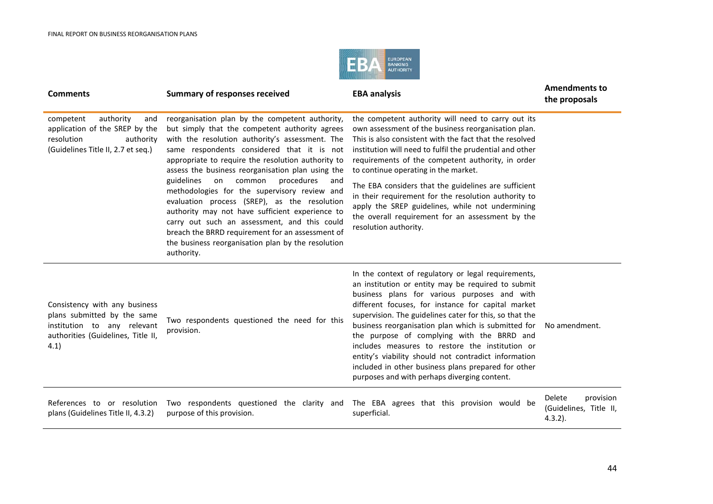

| <b>Comments</b>                                                                                                                           | <b>Summary of responses received</b>                                                                                                                                                                                                                                                                                                                                                                                                                                                                                                                                                                                                                                                        | <b>EBA analysis</b>                                                                                                                                                                                                                                                                                                                                                                                                                                                                                                                                                                               | <b>Amendments to</b><br>the proposals                       |
|-------------------------------------------------------------------------------------------------------------------------------------------|---------------------------------------------------------------------------------------------------------------------------------------------------------------------------------------------------------------------------------------------------------------------------------------------------------------------------------------------------------------------------------------------------------------------------------------------------------------------------------------------------------------------------------------------------------------------------------------------------------------------------------------------------------------------------------------------|---------------------------------------------------------------------------------------------------------------------------------------------------------------------------------------------------------------------------------------------------------------------------------------------------------------------------------------------------------------------------------------------------------------------------------------------------------------------------------------------------------------------------------------------------------------------------------------------------|-------------------------------------------------------------|
| authority<br>competent<br>and<br>application of the SREP by the<br>resolution<br>authority<br>(Guidelines Title II, 2.7 et seq.)          | reorganisation plan by the competent authority,<br>but simply that the competent authority agrees<br>with the resolution authority's assessment. The<br>same respondents considered that it is not<br>appropriate to require the resolution authority to<br>assess the business reorganisation plan using the<br>guidelines<br>procedures<br>on<br>common<br>and<br>methodologies for the supervisory review and<br>evaluation process (SREP), as the resolution<br>authority may not have sufficient experience to<br>carry out such an assessment, and this could<br>breach the BRRD requirement for an assessment of<br>the business reorganisation plan by the resolution<br>authority. | the competent authority will need to carry out its<br>own assessment of the business reorganisation plan.<br>This is also consistent with the fact that the resolved<br>institution will need to fulfil the prudential and other<br>requirements of the competent authority, in order<br>to continue operating in the market.<br>The EBA considers that the guidelines are sufficient<br>in their requirement for the resolution authority to<br>apply the SREP guidelines, while not undermining<br>the overall requirement for an assessment by the<br>resolution authority.                    |                                                             |
| Consistency with any business<br>plans submitted by the same<br>institution to any relevant<br>authorities (Guidelines, Title II,<br>4.1) | Two respondents questioned the need for this<br>provision.                                                                                                                                                                                                                                                                                                                                                                                                                                                                                                                                                                                                                                  | In the context of regulatory or legal requirements,<br>an institution or entity may be required to submit<br>business plans for various purposes and with<br>different focuses, for instance for capital market<br>supervision. The guidelines cater for this, so that the<br>business reorganisation plan which is submitted for<br>the purpose of complying with the BRRD and<br>includes measures to restore the institution or<br>entity's viability should not contradict information<br>included in other business plans prepared for other<br>purposes and with perhaps diverging content. | No amendment.                                               |
| References to or resolution<br>plans (Guidelines Title II, 4.3.2)                                                                         | Two respondents questioned the clarity and<br>purpose of this provision.                                                                                                                                                                                                                                                                                                                                                                                                                                                                                                                                                                                                                    | The EBA agrees that this provision would be<br>superficial.                                                                                                                                                                                                                                                                                                                                                                                                                                                                                                                                       | Delete<br>provision<br>(Guidelines, Title II,<br>$4.3.2$ ). |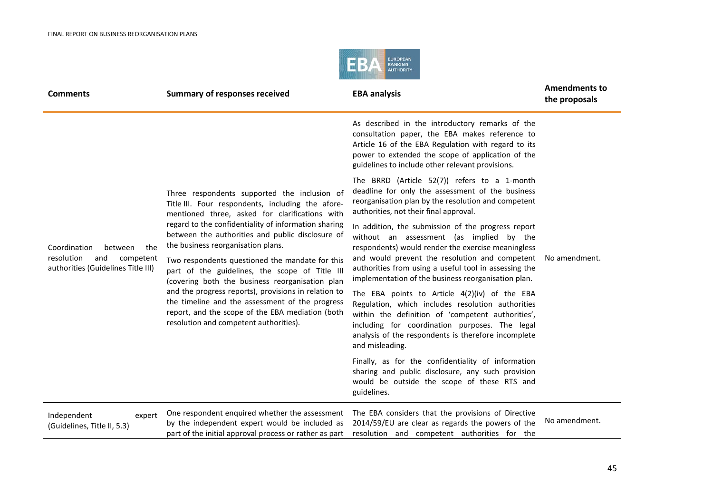

| <b>Comments</b>                                                                                        | <b>Summary of responses received</b>                                                                                                                                                                                                                                                                                                                                                                                                                                                                                  | <b>EBA analysis</b>                                                                                                                                                                                                                                                                                                                                                     | <b>Amendments to</b><br>the proposals |
|--------------------------------------------------------------------------------------------------------|-----------------------------------------------------------------------------------------------------------------------------------------------------------------------------------------------------------------------------------------------------------------------------------------------------------------------------------------------------------------------------------------------------------------------------------------------------------------------------------------------------------------------|-------------------------------------------------------------------------------------------------------------------------------------------------------------------------------------------------------------------------------------------------------------------------------------------------------------------------------------------------------------------------|---------------------------------------|
|                                                                                                        | Three respondents supported the inclusion of<br>Title III. Four respondents, including the afore-<br>mentioned three, asked for clarifications with<br>regard to the confidentiality of information sharing<br>between the authorities and public disclosure of<br>the business reorganisation plans.<br>Two respondents questioned the mandate for this<br>part of the guidelines, the scope of Title III<br>(covering both the business reorganisation plan<br>and the progress reports), provisions in relation to | As described in the introductory remarks of the<br>consultation paper, the EBA makes reference to<br>Article 16 of the EBA Regulation with regard to its<br>power to extended the scope of application of the<br>guidelines to include other relevant provisions.                                                                                                       | No amendment.                         |
|                                                                                                        |                                                                                                                                                                                                                                                                                                                                                                                                                                                                                                                       | The BRRD (Article 52(7)) refers to a 1-month<br>deadline for only the assessment of the business<br>reorganisation plan by the resolution and competent<br>authorities, not their final approval.                                                                                                                                                                       |                                       |
| Coordination<br>the<br>between<br>resolution<br>and<br>competent<br>authorities (Guidelines Title III) |                                                                                                                                                                                                                                                                                                                                                                                                                                                                                                                       | In addition, the submission of the progress report<br>without an assessment (as implied by the<br>respondents) would render the exercise meaningless<br>and would prevent the resolution and competent<br>authorities from using a useful tool in assessing the<br>implementation of the business reorganisation plan.<br>The EBA points to Article 4(2)(iv) of the EBA |                                       |
|                                                                                                        | the timeline and the assessment of the progress<br>report, and the scope of the EBA mediation (both<br>resolution and competent authorities).                                                                                                                                                                                                                                                                                                                                                                         | Regulation, which includes resolution authorities<br>within the definition of 'competent authorities',<br>including for coordination purposes. The legal<br>analysis of the respondents is therefore incomplete<br>and misleading.                                                                                                                                      |                                       |
|                                                                                                        |                                                                                                                                                                                                                                                                                                                                                                                                                                                                                                                       | Finally, as for the confidentiality of information<br>sharing and public disclosure, any such provision<br>would be outside the scope of these RTS and<br>guidelines.                                                                                                                                                                                                   |                                       |
| Independent<br>expert<br>(Guidelines, Title II, 5.3)                                                   | One respondent enquired whether the assessment<br>by the independent expert would be included as<br>part of the initial approval process or rather as part                                                                                                                                                                                                                                                                                                                                                            | The EBA considers that the provisions of Directive<br>2014/59/EU are clear as regards the powers of the<br>resolution and competent authorities for the                                                                                                                                                                                                                 | No amendment.                         |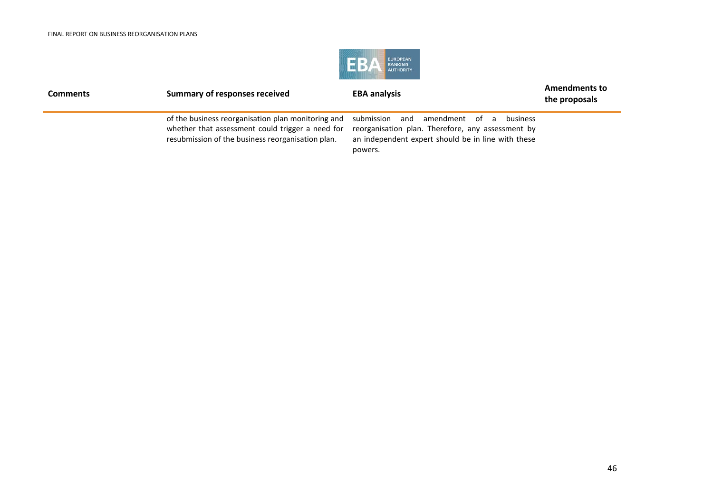

| <b>Comments</b> | Summary of responses received                                                                                                                               | <b>EBA analysis</b>                                                                                                                                             | <b>Amendments to</b><br>the proposals |
|-----------------|-------------------------------------------------------------------------------------------------------------------------------------------------------------|-----------------------------------------------------------------------------------------------------------------------------------------------------------------|---------------------------------------|
|                 | of the business reorganisation plan monitoring and<br>whether that assessment could trigger a need for<br>resubmission of the business reorganisation plan. | submission and amendment of a<br>business<br>reorganisation plan. Therefore, any assessment by<br>an independent expert should be in line with these<br>powers. |                                       |